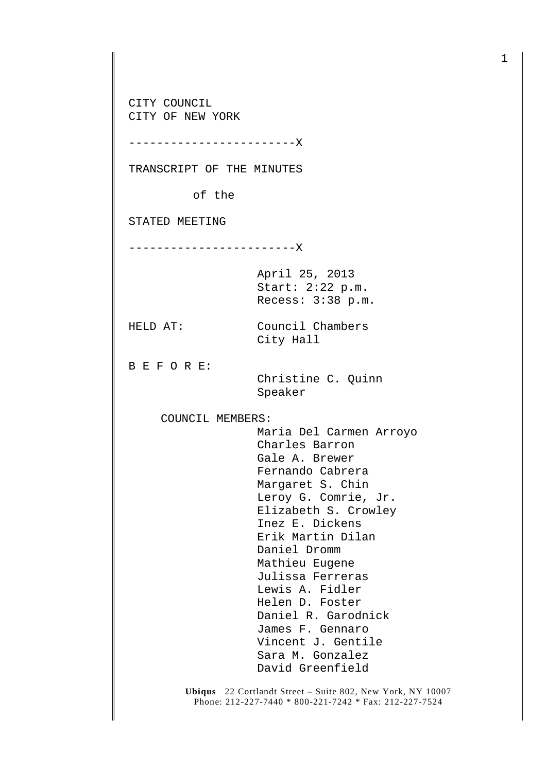CITY COUNCIL CITY OF NEW YORK

------------------------X

TRANSCRIPT OF THE MINUTES

of the

STATED MEETING

------------------------X

April 25, 2013 Start: 2:22 p.m. Recess: 3:38 p.m.

City Hall

HELD AT: Council Chambers

B E F O R E:

 Christine C. Quinn Speaker

COUNCIL MEMBERS:

 Maria Del Carmen Arroyo Charles Barron Gale A. Brewer Fernando Cabrera Margaret S. Chin Leroy G. Comrie, Jr. Elizabeth S. Crowley Inez E. Dickens Erik Martin Dilan Daniel Dromm Mathieu Eugene Julissa Ferreras Lewis A. Fidler Helen D. Foster Daniel R. Garodnick James F. Gennaro Vincent J. Gentile Sara M. Gonzalez David Greenfield

**Ubiqus** 22 Cortlandt Street – Suite 802, New York, NY 10007 Phone: 212-227-7440 \* 800-221-7242 \* Fax: 212-227-7524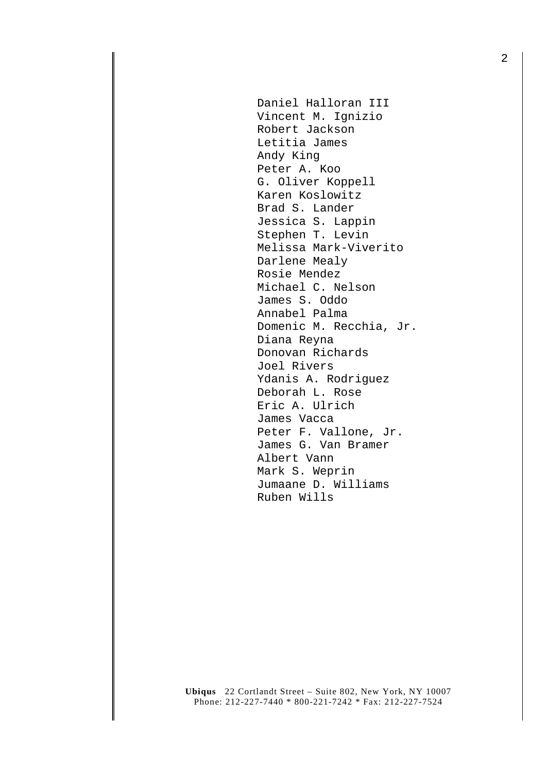Daniel Halloran III Vincent M. Ignizio Robert Jackson Letitia James Andy King Peter A. Koo G. Oliver Koppell Karen Koslowitz Brad S. Lander Jessica S. Lappin Stephen T. Levin Melissa Mark-Viverito Darlene Mealy Rosie Mendez Michael C. Nelson James S. Oddo Annabel Palma Domenic M. Recchia, Jr. Diana Reyna Donovan Richards Joel Rivers Ydanis A. Rodriguez Deborah L. Rose Eric A. Ulrich James Vacca Peter F. Vallone, Jr. James G. Van Bramer Albert Vann Mark S. Weprin Jumaane D. Williams Ruben Wills

**Ubiqus** 22 Cortlandt Street – Suite 802, New York, NY 10007 Phone: 212-227-7440 \* 800-221-7242 \* Fax: 212-227-7524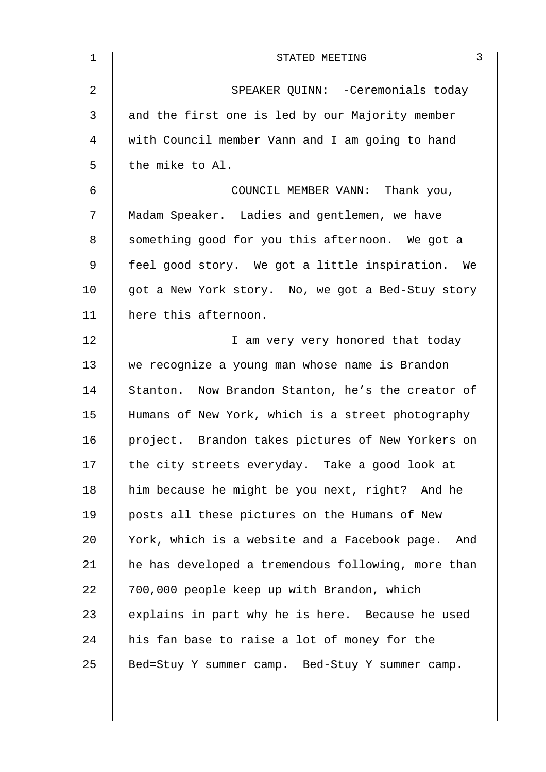| $\mathbf 1$    | 3<br>STATED MEETING                                |
|----------------|----------------------------------------------------|
| $\overline{2}$ | SPEAKER QUINN: - Ceremonials today                 |
| 3              | and the first one is led by our Majority member    |
| 4              | with Council member Vann and I am going to hand    |
| 5              | the mike to Al.                                    |
| 6              | COUNCIL MEMBER VANN: Thank you,                    |
| 7              | Madam Speaker. Ladies and gentlemen, we have       |
| 8              | something good for you this afternoon. We got a    |
| 9              | feel good story. We got a little inspiration. We   |
| 10             | got a New York story. No, we got a Bed-Stuy story  |
| 11             | here this afternoon.                               |
| 12             | I am very very honored that today                  |
| 13             | we recognize a young man whose name is Brandon     |
| 14             | Stanton. Now Brandon Stanton, he's the creator of  |
| 15             | Humans of New York, which is a street photography  |
| 16             | project. Brandon takes pictures of New Yorkers on  |
| 17             | the city streets everyday. Take a good look at     |
| 18             | him because he might be you next, right? And he    |
| 19             | posts all these pictures on the Humans of New      |
| 20             | York, which is a website and a Facebook page. And  |
| 21             | he has developed a tremendous following, more than |
| 22             | 700,000 people keep up with Brandon, which         |
| 23             | explains in part why he is here. Because he used   |
| 24             | his fan base to raise a lot of money for the       |
| 25             | Bed=Stuy Y summer camp. Bed-Stuy Y summer camp.    |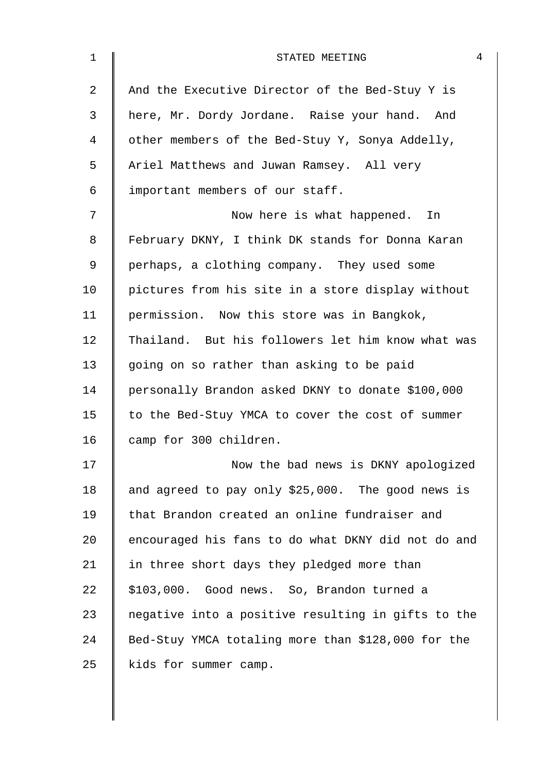| $\mathbf{1}$ | 4<br>STATED MEETING                                |
|--------------|----------------------------------------------------|
| 2            | And the Executive Director of the Bed-Stuy Y is    |
| 3            | here, Mr. Dordy Jordane. Raise your hand. And      |
| 4            | other members of the Bed-Stuy Y, Sonya Addelly,    |
| 5            | Ariel Matthews and Juwan Ramsey. All very          |
| 6            | important members of our staff.                    |
| 7            | Now here is what happened. In                      |
| 8            | February DKNY, I think DK stands for Donna Karan   |
| 9            | perhaps, a clothing company. They used some        |
| 10           | pictures from his site in a store display without  |
| 11           | permission. Now this store was in Bangkok,         |
| 12           | Thailand. But his followers let him know what was  |
| 13           | going on so rather than asking to be paid          |
| 14           | personally Brandon asked DKNY to donate \$100,000  |
| 15           | to the Bed-Stuy YMCA to cover the cost of summer   |
| 16           | camp for 300 children.                             |
| 17           | Now the bad news is DKNY apologized                |
| 18           | and agreed to pay only \$25,000. The good news is  |
| 19           | that Brandon created an online fundraiser and      |
| 20           | encouraged his fans to do what DKNY did not do and |
| 21           | in three short days they pledged more than         |
| 22           | \$103,000. Good news. So, Brandon turned a         |
| 23           | negative into a positive resulting in gifts to the |
| 24           | Bed-Stuy YMCA totaling more than \$128,000 for the |
| 25           | kids for summer camp.                              |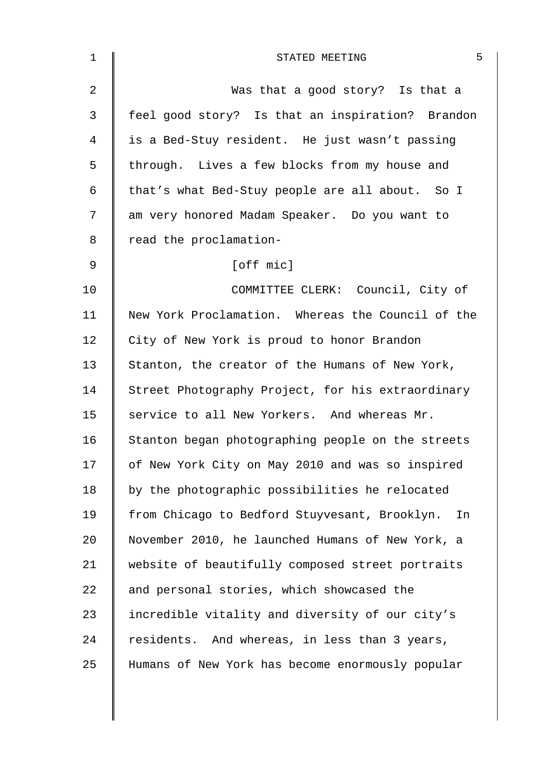| $\mathbf 1$    | 5<br>STATED MEETING                                 |
|----------------|-----------------------------------------------------|
| $\overline{2}$ | Was that a good story? Is that a                    |
| 3              | feel good story? Is that an inspiration? Brandon    |
| 4              | is a Bed-Stuy resident. He just wasn't passing      |
| 5              | through. Lives a few blocks from my house and       |
| 6              | that's what Bed-Stuy people are all about. So I     |
| 7              | am very honored Madam Speaker. Do you want to       |
| 8              | read the proclamation-                              |
| 9              | [off mic]                                           |
| 10             | COMMITTEE CLERK: Council, City of                   |
| 11             | New York Proclamation. Whereas the Council of the   |
| 12             | City of New York is proud to honor Brandon          |
| 13             | Stanton, the creator of the Humans of New York,     |
| 14             | Street Photography Project, for his extraordinary   |
| 15             | service to all New Yorkers. And whereas Mr.         |
| 16             | Stanton began photographing people on the streets   |
| 17             | of New York City on May 2010 and was so inspired    |
| 18             | by the photographic possibilities he relocated      |
| 19             | from Chicago to Bedford Stuyvesant, Brooklyn.<br>In |
| 20             | November 2010, he launched Humans of New York, a    |
| 21             | website of beautifully composed street portraits    |
| 22             | and personal stories, which showcased the           |
| 23             | incredible vitality and diversity of our city's     |
| 24             | residents. And whereas, in less than 3 years,       |
| 25             | Humans of New York has become enormously popular    |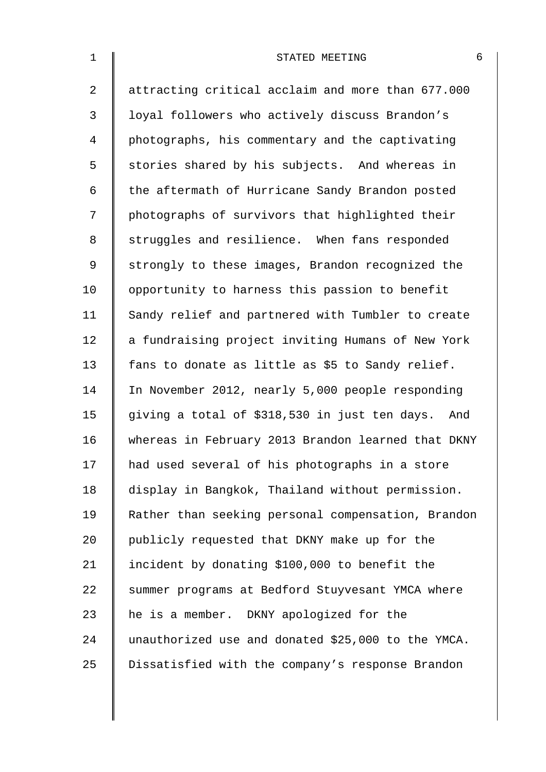| $\mathbf 1$    | STATED MEETING                                     | 6 |
|----------------|----------------------------------------------------|---|
| $\overline{2}$ | attracting critical acclaim and more than 677.000  |   |
| 3              | loyal followers who actively discuss Brandon's     |   |
| 4              | photographs, his commentary and the captivating    |   |
| 5              | stories shared by his subjects. And whereas in     |   |
| 6              | the aftermath of Hurricane Sandy Brandon posted    |   |
| 7              | photographs of survivors that highlighted their    |   |
| 8              | struggles and resilience. When fans responded      |   |
| 9              | strongly to these images, Brandon recognized the   |   |
| 10             | opportunity to harness this passion to benefit     |   |
| 11             | Sandy relief and partnered with Tumbler to create  |   |
| 12             | a fundraising project inviting Humans of New York  |   |
| 13             | fans to donate as little as \$5 to Sandy relief.   |   |
| 14             | In November 2012, nearly 5,000 people responding   |   |
| 15             | giving a total of \$318,530 in just ten days. And  |   |
| 16             | whereas in February 2013 Brandon learned that DKNY |   |
| 17             | had used several of his photographs in a store     |   |
| 18             | display in Bangkok, Thailand without permission.   |   |
| 19             | Rather than seeking personal compensation, Brandon |   |
| 20             | publicly requested that DKNY make up for the       |   |
| 21             | incident by donating \$100,000 to benefit the      |   |
| 22             | summer programs at Bedford Stuyvesant YMCA where   |   |
| 23             | he is a member. DKNY apologized for the            |   |
| 24             | unauthorized use and donated \$25,000 to the YMCA. |   |
| 25             | Dissatisfied with the company's response Brandon   |   |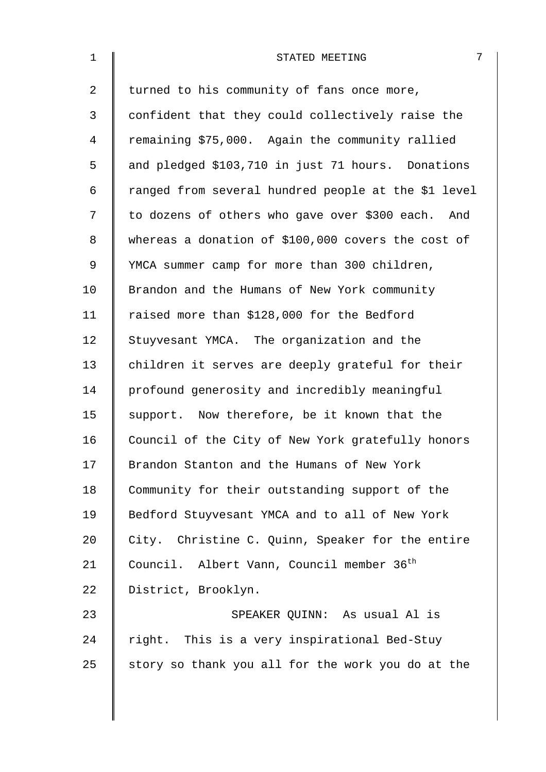| $\mathbf 1$    | 7<br>STATED MEETING                                   |
|----------------|-------------------------------------------------------|
| $\overline{2}$ | turned to his community of fans once more,            |
| 3              | confident that they could collectively raise the      |
| 4              | remaining \$75,000. Again the community rallied       |
| 5              | and pledged \$103,710 in just 71 hours. Donations     |
| 6              | ranged from several hundred people at the \$1 level   |
| 7              | to dozens of others who gave over \$300 each. And     |
| 8              | whereas a donation of \$100,000 covers the cost of    |
| 9              | YMCA summer camp for more than 300 children,          |
| 10             | Brandon and the Humans of New York community          |
| 11             | raised more than \$128,000 for the Bedford            |
| 12             | Stuyvesant YMCA. The organization and the             |
| 13             | children it serves are deeply grateful for their      |
| 14             | profound generosity and incredibly meaningful         |
| 15             | support. Now therefore, be it known that the          |
| 16             | Council of the City of New York gratefully honors     |
| 17             | Brandon Stanton and the Humans of New York            |
| 18             | Community for their outstanding support of the        |
| 19             | Bedford Stuyvesant YMCA and to all of New York        |
| 20             | City. Christine C. Quinn, Speaker for the entire      |
| 21             | Council. Albert Vann, Council member 36 <sup>th</sup> |
| 22             | District, Brooklyn.                                   |
| 23             | SPEAKER QUINN: As usual Al is                         |
| 24             | right. This is a very inspirational Bed-Stuy          |
| 25             | story so thank you all for the work you do at the     |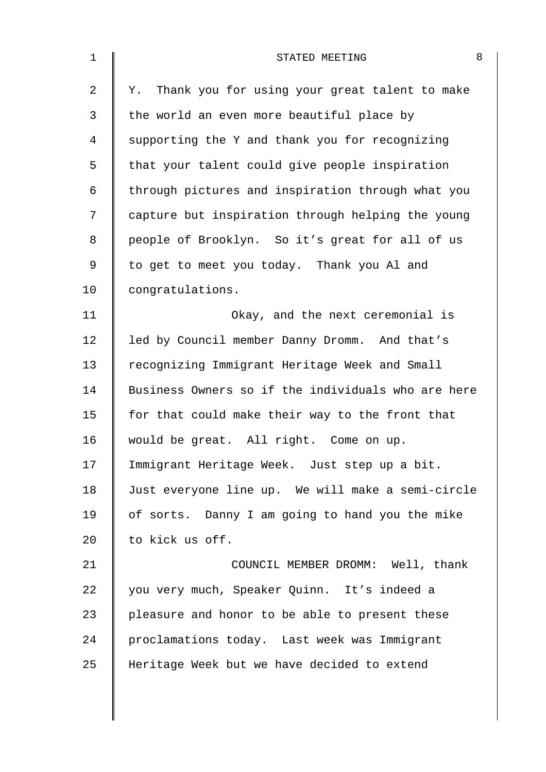| $\mathbf 1$    | 8<br>STATED MEETING                                 |
|----------------|-----------------------------------------------------|
| $\overline{2}$ | Thank you for using your great talent to make<br>Υ. |
| 3              | the world an even more beautiful place by           |
| $\overline{4}$ | supporting the Y and thank you for recognizing      |
| 5              | that your talent could give people inspiration      |
| 6              | through pictures and inspiration through what you   |
| 7              | capture but inspiration through helping the young   |
| 8              | people of Brooklyn. So it's great for all of us     |
| $\mathsf 9$    | to get to meet you today. Thank you Al and          |
| 10             | congratulations.                                    |
| 11             | Okay, and the next ceremonial is                    |
| 12             | led by Council member Danny Dromm. And that's       |
| 13             | recognizing Immigrant Heritage Week and Small       |
| 14             | Business Owners so if the individuals who are here  |
| 15             | for that could make their way to the front that     |
| 16             | would be great. All right. Come on up.              |
| 17             | Immigrant Heritage Week. Just step up a bit.        |
| 18             | Just everyone line up. We will make a semi-circle   |
| 19             | of sorts. Danny I am going to hand you the mike     |
| 20             | to kick us off.                                     |
| 21             | COUNCIL MEMBER DROMM: Well, thank                   |
| 22             | you very much, Speaker Quinn. It's indeed a         |
| 23             | pleasure and honor to be able to present these      |
| 24             | proclamations today. Last week was Immigrant        |
| 25             | Heritage Week but we have decided to extend         |
|                |                                                     |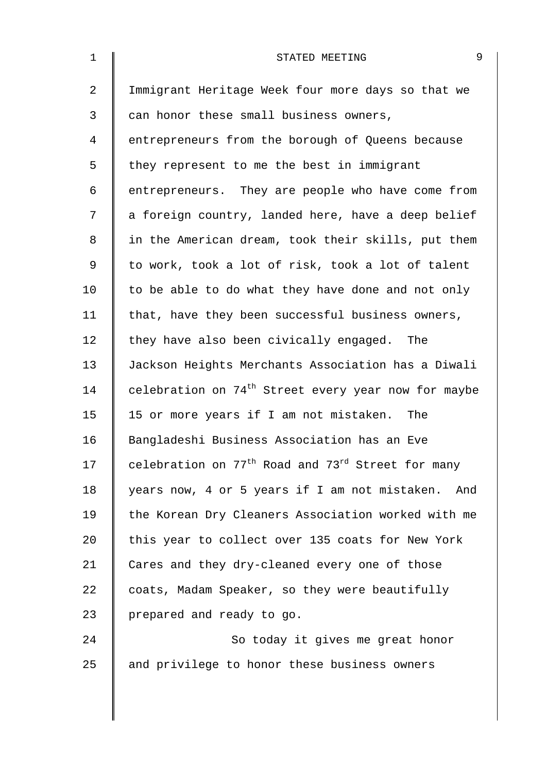| $\mathbf 1$    | 9<br>STATED MEETING                                                       |
|----------------|---------------------------------------------------------------------------|
| $\overline{2}$ | Immigrant Heritage Week four more days so that we                         |
| 3              | can honor these small business owners,                                    |
| 4              | entrepreneurs from the borough of Queens because                          |
| 5              | they represent to me the best in immigrant                                |
| 6              | entrepreneurs. They are people who have come from                         |
| 7              | a foreign country, landed here, have a deep belief                        |
| 8              | in the American dream, took their skills, put them                        |
| $\mathsf 9$    | to work, took a lot of risk, took a lot of talent                         |
| 10             | to be able to do what they have done and not only                         |
| 11             | that, have they been successful business owners,                          |
| 12             | they have also been civically engaged. The                                |
| 13             | Jackson Heights Merchants Association has a Diwali                        |
| 14             | celebration on 74 <sup>th</sup> Street every year now for maybe           |
| 15             | 15 or more years if I am not mistaken. The                                |
| 16             | Bangladeshi Business Association has an Eve                               |
| 17             | celebration on 77 <sup>th</sup> Road and 73 <sup>rd</sup> Street for many |
| 18             | years now, 4 or 5 years if I am not mistaken. And                         |
| 19             | the Korean Dry Cleaners Association worked with me                        |
| 20             | this year to collect over 135 coats for New York                          |
| 21             | Cares and they dry-cleaned every one of those                             |
| 22             | coats, Madam Speaker, so they were beautifully                            |
| 23             | prepared and ready to go.                                                 |
| 24             | So today it gives me great honor                                          |
| 25             | and privilege to honor these business owners                              |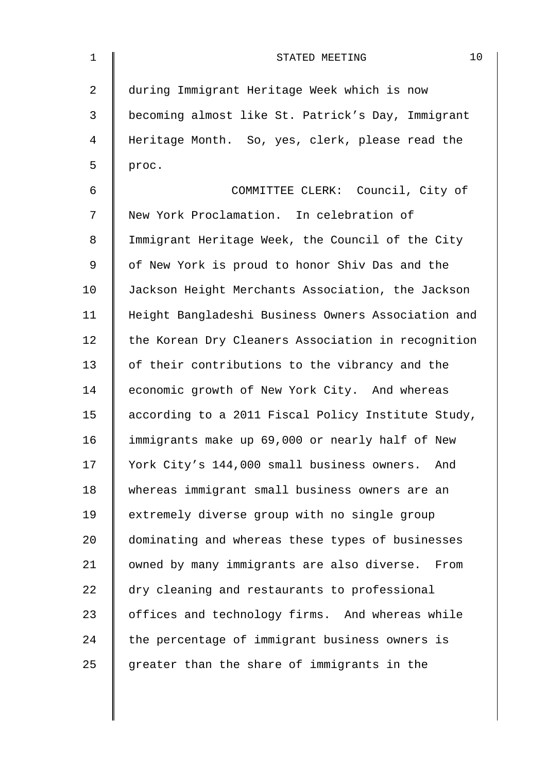| $\mathbf 1$ | 10<br>STATED MEETING                               |
|-------------|----------------------------------------------------|
| 2           | during Immigrant Heritage Week which is now        |
| 3           | becoming almost like St. Patrick's Day, Immigrant  |
| 4           | Heritage Month. So, yes, clerk, please read the    |
| 5           | proc.                                              |
| 6           | COMMITTEE CLERK: Council, City of                  |
| 7           | New York Proclamation. In celebration of           |
| 8           | Immigrant Heritage Week, the Council of the City   |
| $\mathsf 9$ | of New York is proud to honor Shiv Das and the     |
| 10          | Jackson Height Merchants Association, the Jackson  |
| 11          | Height Bangladeshi Business Owners Association and |
| 12          | the Korean Dry Cleaners Association in recognition |
| 13          | of their contributions to the vibrancy and the     |
| 14          | economic growth of New York City. And whereas      |
| 15          | according to a 2011 Fiscal Policy Institute Study, |
| 16          | immigrants make up 69,000 or nearly half of New    |
| 17          | York City's 144,000 small business owners.<br>And  |
| 18          | whereas immigrant small business owners are an     |
| 19          | extremely diverse group with no single group       |
| 20          | dominating and whereas these types of businesses   |
| 21          | owned by many immigrants are also diverse.<br>From |
| 22          | dry cleaning and restaurants to professional       |
| 23          | offices and technology firms. And whereas while    |
| 24          | the percentage of immigrant business owners is     |
| 25          | greater than the share of immigrants in the        |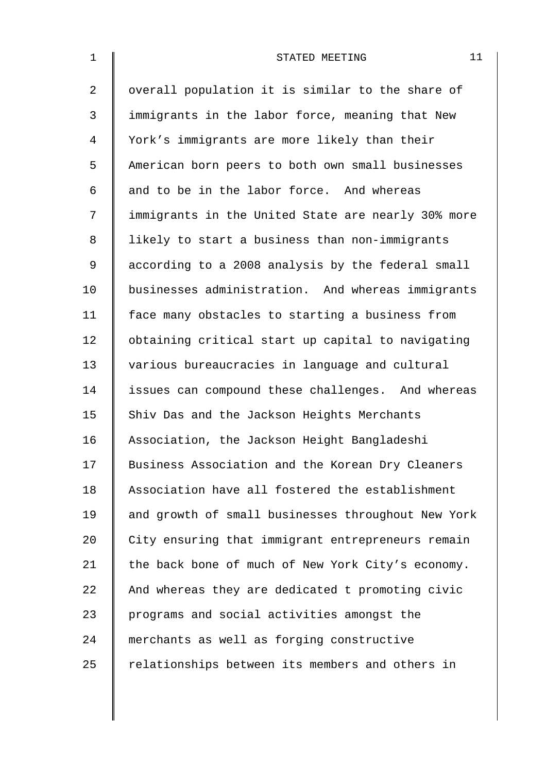| $\mathbf{1}$   | 11<br>STATED MEETING                               |
|----------------|----------------------------------------------------|
| $\overline{2}$ | overall population it is similar to the share of   |
| 3              | immigrants in the labor force, meaning that New    |
| 4              | York's immigrants are more likely than their       |
| 5              | American born peers to both own small businesses   |
| 6              | and to be in the labor force. And whereas          |
| 7              | immigrants in the United State are nearly 30% more |
| 8              | likely to start a business than non-immigrants     |
| 9              | according to a 2008 analysis by the federal small  |
| 10             | businesses administration. And whereas immigrants  |
| 11             | face many obstacles to starting a business from    |
| 12             | obtaining critical start up capital to navigating  |
| 13             | various bureaucracies in language and cultural     |
| 14             | issues can compound these challenges. And whereas  |
| 15             | Shiv Das and the Jackson Heights Merchants         |
| 16             | Association, the Jackson Height Bangladeshi        |
| 17             | Business Association and the Korean Dry Cleaners   |
| 18             | Association have all fostered the establishment    |
| 19             | and growth of small businesses throughout New York |
| 20             | City ensuring that immigrant entrepreneurs remain  |
| 21             | the back bone of much of New York City's economy.  |
| 22             | And whereas they are dedicated t promoting civic   |
| 23             | programs and social activities amongst the         |
| 24             | merchants as well as forging constructive          |
| 25             | relationships between its members and others in    |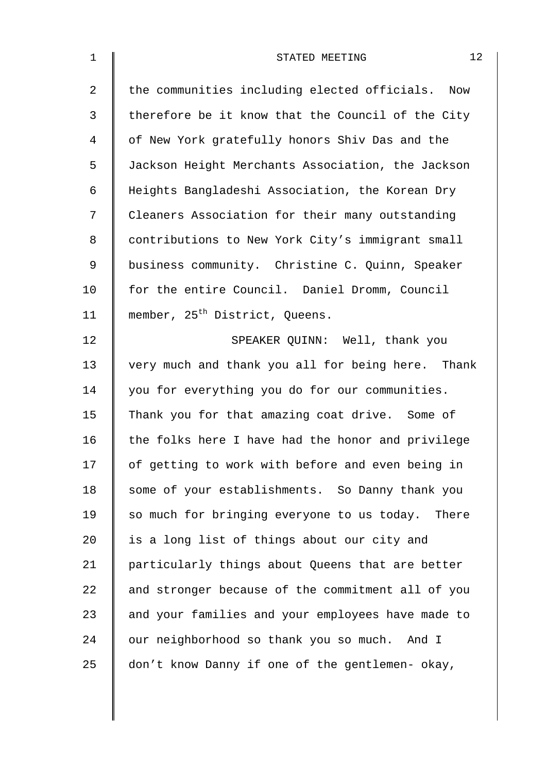| 1  | 12<br>STATED MEETING                                |
|----|-----------------------------------------------------|
| 2  | the communities including elected officials.<br>Now |
| 3  | therefore be it know that the Council of the City   |
| 4  | of New York gratefully honors Shiv Das and the      |
| 5  | Jackson Height Merchants Association, the Jackson   |
| 6  | Heights Bangladeshi Association, the Korean Dry     |
| 7  | Cleaners Association for their many outstanding     |
| 8  | contributions to New York City's immigrant small    |
| 9  | business community. Christine C. Quinn, Speaker     |
| 10 | for the entire Council. Daniel Dromm, Council       |
| 11 | member, 25 <sup>th</sup> District, Queens.          |
| 12 | SPEAKER QUINN: Well, thank you                      |
| 13 | very much and thank you all for being here. Thank   |
| 14 | you for everything you do for our communities.      |
| 15 | Thank you for that amazing coat drive. Some of      |
| 16 | the folks here I have had the honor and privilege   |
| 17 | of getting to work with before and even being in    |
| 18 | some of your establishments. So Danny thank you     |
| 19 | so much for bringing everyone to us today. There    |
| 20 | is a long list of things about our city and         |
| 21 | particularly things about Queens that are better    |
| 22 | and stronger because of the commitment all of you   |
| 23 | and your families and your employees have made to   |
| 24 | our neighborhood so thank you so much. And I        |
| 25 | don't know Danny if one of the gentlemen- okay,     |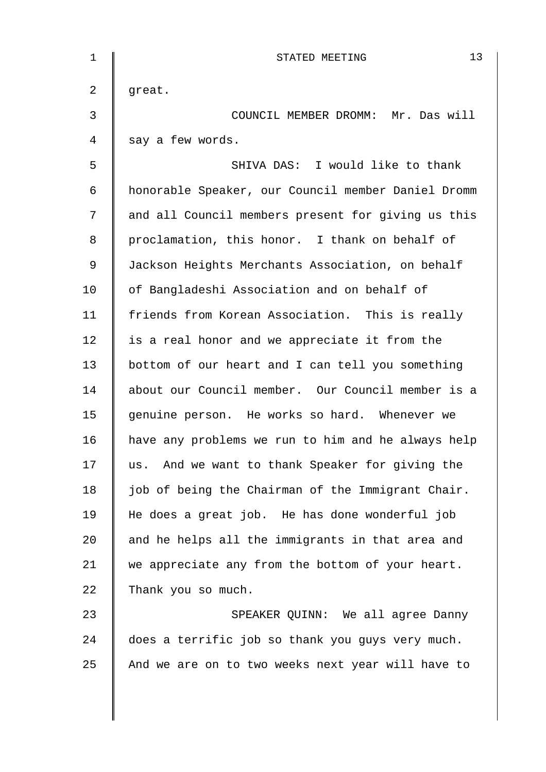| $\mathbf{1}$ | 13<br>STATED MEETING                               |
|--------------|----------------------------------------------------|
| 2            | great.                                             |
| 3            | COUNCIL MEMBER DROMM: Mr. Das will                 |
| 4            | say a few words.                                   |
| 5            | SHIVA DAS: I would like to thank                   |
| 6            | honorable Speaker, our Council member Daniel Dromm |
| 7            | and all Council members present for giving us this |
| 8            | proclamation, this honor. I thank on behalf of     |
| 9            | Jackson Heights Merchants Association, on behalf   |
| 10           | of Bangladeshi Association and on behalf of        |
| 11           | friends from Korean Association. This is really    |
| 12           | is a real honor and we appreciate it from the      |
| 13           | bottom of our heart and I can tell you something   |
| 14           | about our Council member. Our Council member is a  |
| 15           | genuine person. He works so hard. Whenever we      |
| 16           | have any problems we run to him and he always help |
| 17           | And we want to thank Speaker for giving the<br>us. |
| 18           | job of being the Chairman of the Immigrant Chair.  |
| 19           | He does a great job. He has done wonderful job     |
| 20           | and he helps all the immigrants in that area and   |
| 21           | we appreciate any from the bottom of your heart.   |
| 22           | Thank you so much.                                 |
| 23           | SPEAKER QUINN: We all agree Danny                  |
| 24           | does a terrific job so thank you guys very much.   |
| 25           | And we are on to two weeks next year will have to  |
|              |                                                    |
|              |                                                    |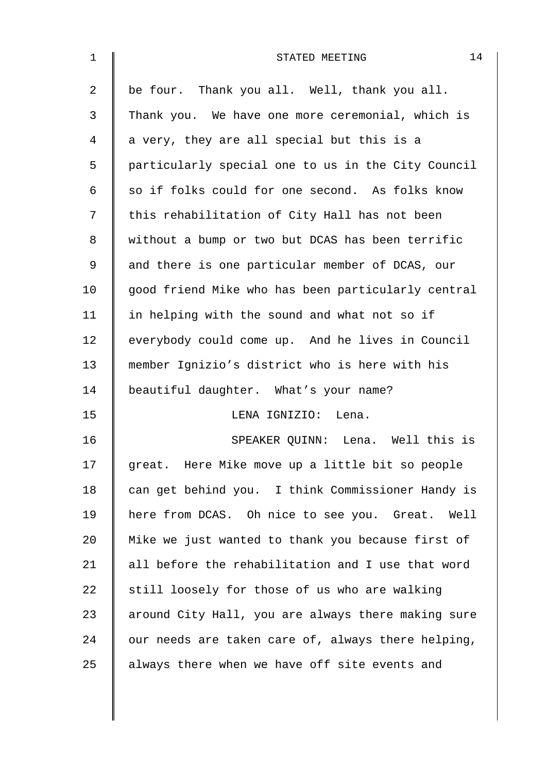| 1              | 14<br>STATED MEETING                               |
|----------------|----------------------------------------------------|
| $\overline{a}$ | be four. Thank you all. Well, thank you all.       |
| 3              | Thank you. We have one more ceremonial, which is   |
| 4              | a very, they are all special but this is a         |
| 5              | particularly special one to us in the City Council |
| 6              | so if folks could for one second. As folks know    |
| 7              | this rehabilitation of City Hall has not been      |
| 8              | without a bump or two but DCAS has been terrific   |
| $\mathsf 9$    | and there is one particular member of DCAS, our    |
| 10             | good friend Mike who has been particularly central |
| 11             | in helping with the sound and what not so if       |
| 12             | everybody could come up. And he lives in Council   |
| 13             | member Ignizio's district who is here with his     |
| 14             | beautiful daughter. What's your name?              |
| 15             | LENA IGNIZIO: Lena.                                |
| 16             | SPEAKER QUINN: Lena. Well this is                  |
| 17             | great. Here Mike move up a little bit so people    |
| 18             | can get behind you. I think Commissioner Handy is  |
| 19             | here from DCAS. Oh nice to see you. Great. Well    |
| 20             | Mike we just wanted to thank you because first of  |
| 21             | all before the rehabilitation and I use that word  |
| 22             | still loosely for those of us who are walking      |
| 23             | around City Hall, you are always there making sure |
| 24             | our needs are taken care of, always there helping, |
| 25             | always there when we have off site events and      |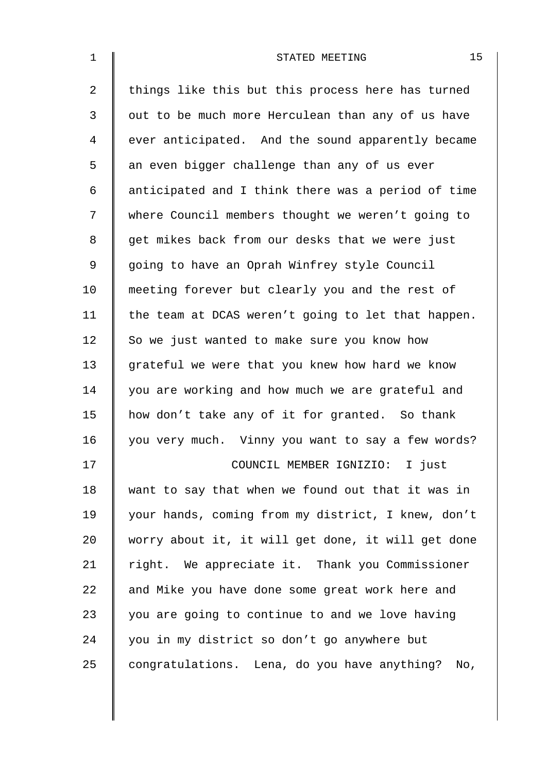| $\mathbf 1$    | 15<br>STATED MEETING                                |
|----------------|-----------------------------------------------------|
| $\overline{a}$ | things like this but this process here has turned   |
| 3              | out to be much more Herculean than any of us have   |
| 4              | ever anticipated. And the sound apparently became   |
| 5              | an even bigger challenge than any of us ever        |
| 6              | anticipated and I think there was a period of time  |
| 7              | where Council members thought we weren't going to   |
| 8              | get mikes back from our desks that we were just     |
| 9              | going to have an Oprah Winfrey style Council        |
| 10             | meeting forever but clearly you and the rest of     |
| 11             | the team at DCAS weren't going to let that happen.  |
| 12             | So we just wanted to make sure you know how         |
| 13             | grateful we were that you knew how hard we know     |
| 14             | you are working and how much we are grateful and    |
| 15             | how don't take any of it for granted. So thank      |
| 16             | you very much. Vinny you want to say a few words?   |
| 17             | COUNCIL MEMBER IGNIZIO: I just                      |
| 18             | want to say that when we found out that it was in   |
| 19             | your hands, coming from my district, I knew, don't  |
| 20             | worry about it, it will get done, it will get done  |
| 21             | right. We appreciate it. Thank you Commissioner     |
| 22             | and Mike you have done some great work here and     |
| 23             | you are going to continue to and we love having     |
| 24             | you in my district so don't go anywhere but         |
| 25             | congratulations. Lena, do you have anything?<br>No, |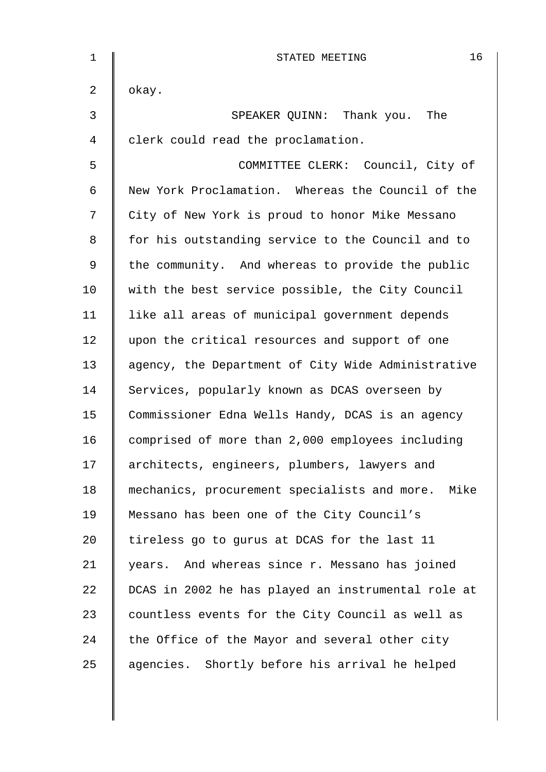| $\mathbf 1$    | 16<br>STATED MEETING                               |
|----------------|----------------------------------------------------|
| $\overline{a}$ | okay.                                              |
| $\mathfrak{Z}$ | SPEAKER QUINN: Thank you. The                      |
| 4              | clerk could read the proclamation.                 |
| 5              | COMMITTEE CLERK: Council, City of                  |
| 6              | New York Proclamation. Whereas the Council of the  |
| 7              | City of New York is proud to honor Mike Messano    |
| 8              | for his outstanding service to the Council and to  |
| $\mathsf 9$    | the community. And whereas to provide the public   |
| 10             | with the best service possible, the City Council   |
| 11             | like all areas of municipal government depends     |
| 12             | upon the critical resources and support of one     |
| 13             | agency, the Department of City Wide Administrative |
| 14             | Services, popularly known as DCAS overseen by      |
| 15             | Commissioner Edna Wells Handy, DCAS is an agency   |
| 16             | comprised of more than 2,000 employees including   |
| 17             | architects, engineers, plumbers, lawyers and       |
| 18             | mechanics, procurement specialists and more. Mike  |
| 19             | Messano has been one of the City Council's         |
| 20             | tireless go to gurus at DCAS for the last 11       |
| 21             | years. And whereas since r. Messano has joined     |
| 22             | DCAS in 2002 he has played an instrumental role at |
| 23             | countless events for the City Council as well as   |
| 24             | the Office of the Mayor and several other city     |
| 25             | agencies. Shortly before his arrival he helped     |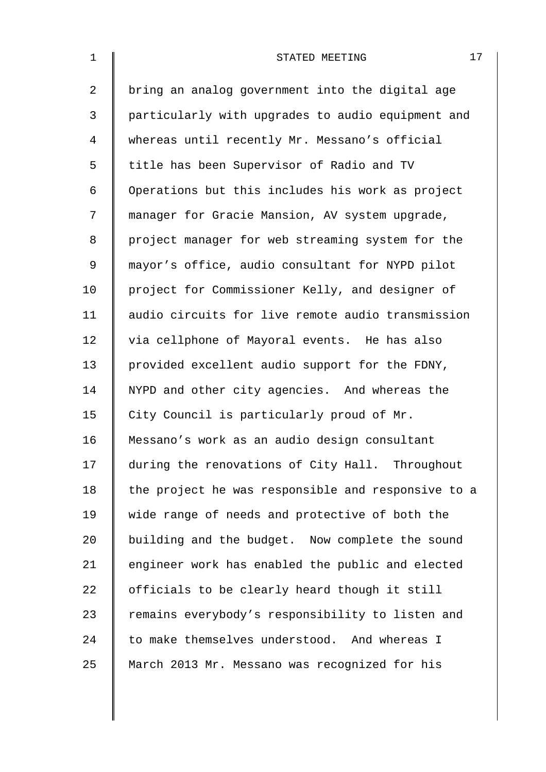| $\mathbf 1$    | 17<br>STATED MEETING                               |
|----------------|----------------------------------------------------|
| $\overline{a}$ | bring an analog government into the digital age    |
| 3              | particularly with upgrades to audio equipment and  |
| 4              | whereas until recently Mr. Messano's official      |
| 5              | title has been Supervisor of Radio and TV          |
| 6              | Operations but this includes his work as project   |
| 7              | manager for Gracie Mansion, AV system upgrade,     |
| 8              | project manager for web streaming system for the   |
| 9              | mayor's office, audio consultant for NYPD pilot    |
| 10             | project for Commissioner Kelly, and designer of    |
| 11             | audio circuits for live remote audio transmission  |
| 12             | via cellphone of Mayoral events. He has also       |
| 13             | provided excellent audio support for the FDNY,     |
| 14             | NYPD and other city agencies. And whereas the      |
| 15             | City Council is particularly proud of Mr.          |
| 16             | Messano's work as an audio design consultant       |
| 17             | during the renovations of City Hall. Throughout    |
| 18             | the project he was responsible and responsive to a |
| 19             | wide range of needs and protective of both the     |
| 20             | building and the budget. Now complete the sound    |
| 21             | engineer work has enabled the public and elected   |
| 22             | officials to be clearly heard though it still      |
| 23             | remains everybody's responsibility to listen and   |
| 24             | to make themselves understood. And whereas I       |
| 25             | March 2013 Mr. Messano was recognized for his      |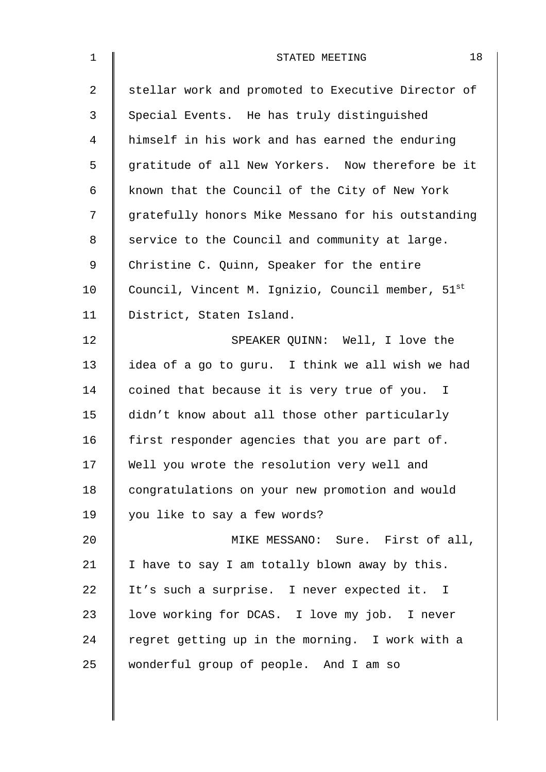| $\mathbf 1$    | 18<br>STATED MEETING                               |
|----------------|----------------------------------------------------|
| $\overline{a}$ | stellar work and promoted to Executive Director of |
| 3              | Special Events. He has truly distinguished         |
| 4              | himself in his work and has earned the enduring    |
| 5              | gratitude of all New Yorkers. Now therefore be it  |
| 6              | known that the Council of the City of New York     |
| 7              | gratefully honors Mike Messano for his outstanding |
| 8              | service to the Council and community at large.     |
| 9              | Christine C. Quinn, Speaker for the entire         |
| 10             | Council, Vincent M. Ignizio, Council member, 51st  |
| 11             | District, Staten Island.                           |
| 12             | SPEAKER QUINN: Well, I love the                    |
| 13             | idea of a go to guru. I think we all wish we had   |
| 14             | coined that because it is very true of you. I      |
| 15             | didn't know about all those other particularly     |
| 16             | first responder agencies that you are part of.     |
| 17             | Well you wrote the resolution very well and        |
| 18             | congratulations on your new promotion and would    |
| 19             | you like to say a few words?                       |
| 20             | MIKE MESSANO: Sure. First of all,                  |
| 21             | I have to say I am totally blown away by this.     |
| 22             | It's such a surprise. I never expected it. I       |
| 23             | love working for DCAS. I love my job. I never      |
| 24             | regret getting up in the morning. I work with a    |
| 25             | wonderful group of people. And I am so             |
|                |                                                    |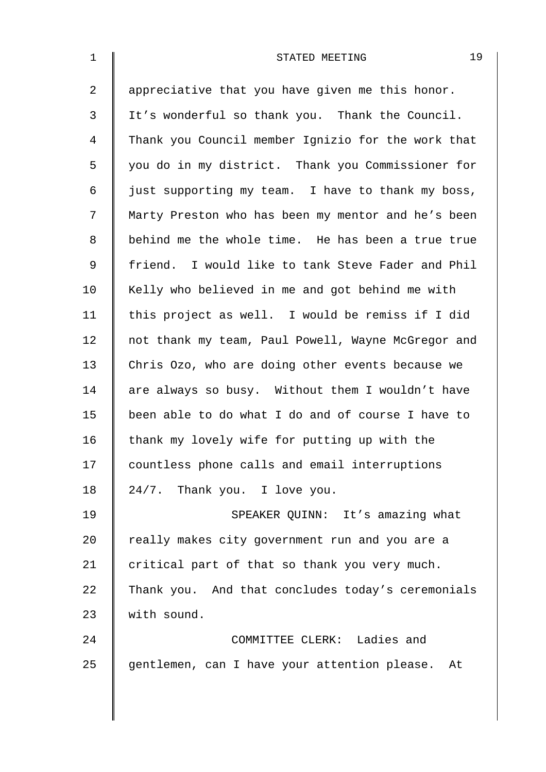| $\mathbf{1}$   | 19<br>STATED MEETING                               |
|----------------|----------------------------------------------------|
| $\overline{a}$ | appreciative that you have given me this honor.    |
| 3              | It's wonderful so thank you. Thank the Council.    |
| 4              | Thank you Council member Ignizio for the work that |
| 5              | you do in my district. Thank you Commissioner for  |
| 6              | just supporting my team. I have to thank my boss,  |
| 7              | Marty Preston who has been my mentor and he's been |
| 8              | behind me the whole time. He has been a true true  |
| 9              | friend. I would like to tank Steve Fader and Phil  |
| 10             | Kelly who believed in me and got behind me with    |
| 11             | this project as well. I would be remiss if I did   |
| 12             | not thank my team, Paul Powell, Wayne McGregor and |
| 13             | Chris Ozo, who are doing other events because we   |
| 14             | are always so busy. Without them I wouldn't have   |
| 15             | been able to do what I do and of course I have to  |
| 16             | thank my lovely wife for putting up with the       |
| 17             | countless phone calls and email interruptions      |
| 18             | 24/7. Thank you. I love you.                       |
| 19             | SPEAKER QUINN: It's amazing what                   |
| 20             | really makes city government run and you are a     |
| 21             | critical part of that so thank you very much.      |
| 22             | Thank you. And that concludes today's ceremonials  |
| 23             | with sound.                                        |
| 24             | COMMITTEE CLERK: Ladies and                        |
| 25             | gentlemen, can I have your attention please. At    |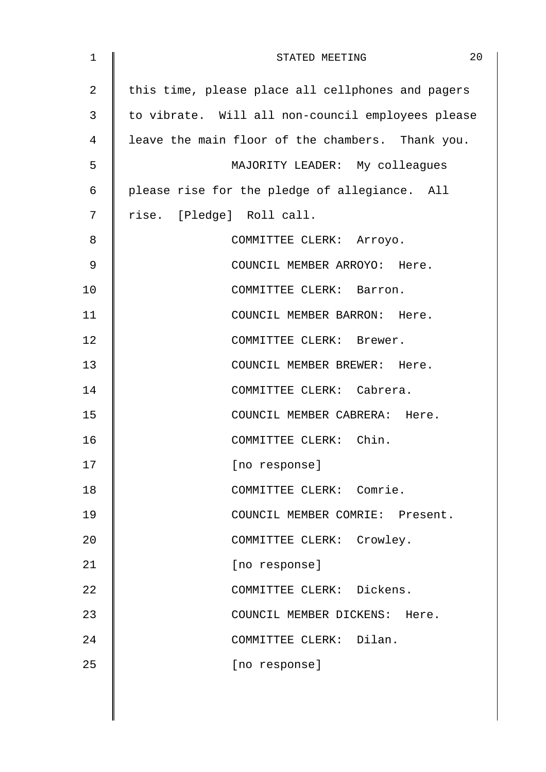| $\mathbf 1$ | 20<br>STATED MEETING                              |
|-------------|---------------------------------------------------|
| 2           | this time, please place all cellphones and pagers |
| 3           | to vibrate. Will all non-council employees please |
| 4           | leave the main floor of the chambers. Thank you.  |
| 5           | MAJORITY LEADER: My colleagues                    |
| 6           | please rise for the pledge of allegiance. All     |
| 7           | rise. [Pledge] Roll call.                         |
| 8           | COMMITTEE CLERK: Arroyo.                          |
| 9           | COUNCIL MEMBER ARROYO: Here.                      |
| 10          | COMMITTEE CLERK: Barron.                          |
| 11          | COUNCIL MEMBER BARRON: Here.                      |
| 12          | COMMITTEE CLERK: Brewer.                          |
| 13          | COUNCIL MEMBER BREWER: Here.                      |
| 14          | COMMITTEE CLERK: Cabrera.                         |
| 15          | COUNCIL MEMBER CABRERA: Here.                     |
| 16          | COMMITTEE CLERK: Chin.                            |
| 17          | [no response]                                     |
| 18          | COMMITTEE CLERK: Comrie.                          |
| 19          | COUNCIL MEMBER COMRIE: Present.                   |
| 20          | COMMITTEE CLERK: Crowley.                         |
| 21          | [no response]                                     |
| 22          | COMMITTEE CLERK: Dickens.                         |
| 23          | COUNCIL MEMBER DICKENS: Here.                     |
| 24          | COMMITTEE CLERK: Dilan.                           |
| 25          | [no response]                                     |
|             |                                                   |
|             |                                                   |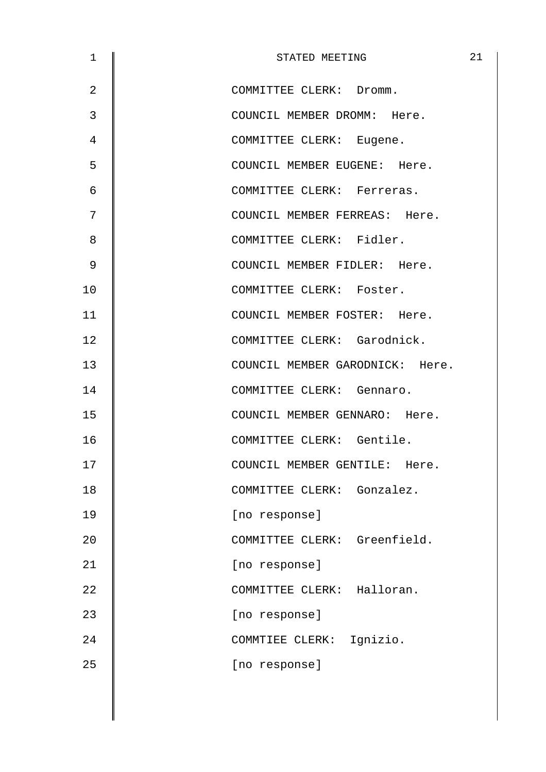| $\mathbf 1$    | STATED MEETING                  | 21 |
|----------------|---------------------------------|----|
| $\overline{2}$ | COMMITTEE CLERK: Dromm.         |    |
| 3              | COUNCIL MEMBER DROMM: Here.     |    |
| $\overline{4}$ | COMMITTEE CLERK: Eugene.        |    |
| 5              | COUNCIL MEMBER EUGENE: Here.    |    |
| 6              | COMMITTEE CLERK: Ferreras.      |    |
| 7              | COUNCIL MEMBER FERREAS: Here.   |    |
| 8              | COMMITTEE CLERK: Fidler.        |    |
| 9              | COUNCIL MEMBER FIDLER: Here.    |    |
| 10             | COMMITTEE CLERK: Foster.        |    |
| 11             | COUNCIL MEMBER FOSTER: Here.    |    |
| 12             | COMMITTEE CLERK: Garodnick.     |    |
| 13             | COUNCIL MEMBER GARODNICK: Here. |    |
| 14             | COMMITTEE CLERK: Gennaro.       |    |
| 15             | COUNCIL MEMBER GENNARO: Here.   |    |
| 16             | COMMITTEE CLERK: Gentile.       |    |
| 17             | COUNCIL MEMBER GENTILE: Here.   |    |
| 18             | COMMITTEE CLERK: Gonzalez.      |    |
| 19             | [no response]                   |    |
| 20             | COMMITTEE CLERK: Greenfield.    |    |
| 21             | [no response]                   |    |
| 22             | COMMITTEE CLERK: Halloran.      |    |
| 23             | [no response]                   |    |
| 24             | COMMTIEE CLERK: Ignizio.        |    |
| 25             | [no response]                   |    |
|                |                                 |    |
|                |                                 |    |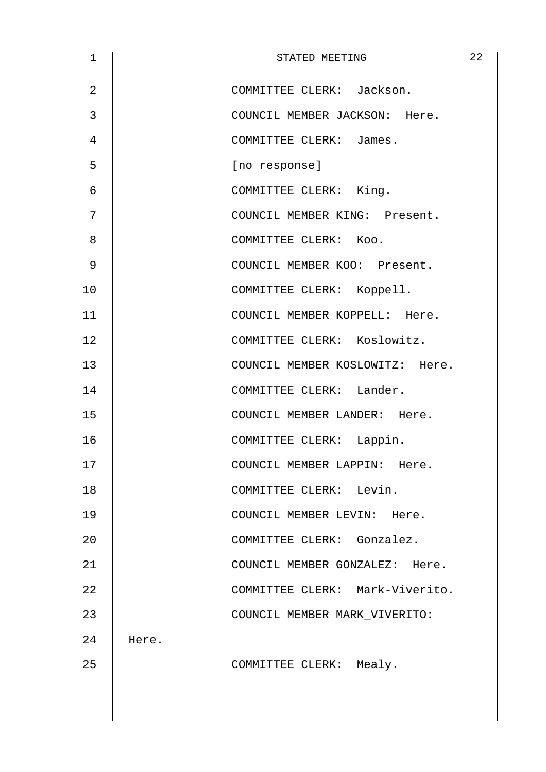| $\mathbf 1$    |       | STATED MEETING                  | 22 |
|----------------|-------|---------------------------------|----|
| $\overline{2}$ |       | COMMITTEE CLERK: Jackson.       |    |
| 3              |       | COUNCIL MEMBER JACKSON: Here.   |    |
| 4              |       | COMMITTEE CLERK: James.         |    |
| 5              |       | [no response]                   |    |
| 6              |       | COMMITTEE CLERK: King.          |    |
| 7              |       | COUNCIL MEMBER KING: Present.   |    |
| 8              |       | COMMITTEE CLERK: Koo.           |    |
| 9              |       | COUNCIL MEMBER KOO: Present.    |    |
| 10             |       | COMMITTEE CLERK: Koppell.       |    |
| 11             |       | COUNCIL MEMBER KOPPELL: Here.   |    |
| 12             |       | COMMITTEE CLERK: Koslowitz.     |    |
| 13             |       | COUNCIL MEMBER KOSLOWITZ: Here. |    |
| 14             |       | COMMITTEE CLERK: Lander.        |    |
| 15             |       | COUNCIL MEMBER LANDER: Here.    |    |
| 16             |       | COMMITTEE CLERK: Lappin.        |    |
| 17             |       | COUNCIL MEMBER LAPPIN: Here.    |    |
| 18             |       | COMMITTEE CLERK: Levin.         |    |
| 19             |       | COUNCIL MEMBER LEVIN: Here.     |    |
| 20             |       | COMMITTEE CLERK: Gonzalez.      |    |
| 21             |       | COUNCIL MEMBER GONZALEZ: Here.  |    |
| 22             |       | COMMITTEE CLERK: Mark-Viverito. |    |
| 23             |       | COUNCIL MEMBER MARK VIVERITO:   |    |
| 24             | Here. |                                 |    |
| 25             |       | COMMITTEE CLERK: Mealy.         |    |
|                |       |                                 |    |
|                |       |                                 |    |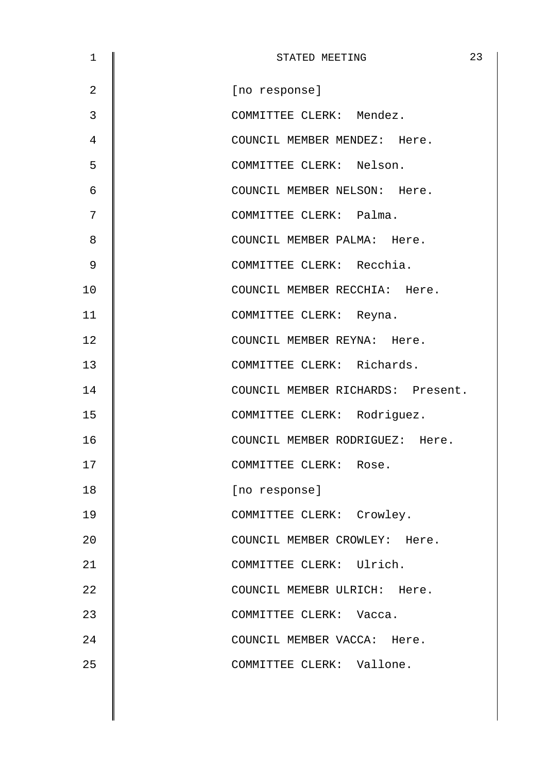| STATED MEETING                    | 23 |
|-----------------------------------|----|
| [no response]                     |    |
| COMMITTEE CLERK: Mendez.          |    |
| COUNCIL MEMBER MENDEZ: Here.      |    |
| COMMITTEE CLERK: Nelson.          |    |
| COUNCIL MEMBER NELSON: Here.      |    |
| COMMITTEE CLERK: Palma.           |    |
| COUNCIL MEMBER PALMA: Here.       |    |
| COMMITTEE CLERK: Recchia.         |    |
| COUNCIL MEMBER RECCHIA: Here.     |    |
| COMMITTEE CLERK: Reyna.           |    |
| COUNCIL MEMBER REYNA: Here.       |    |
| COMMITTEE CLERK: Richards.        |    |
| COUNCIL MEMBER RICHARDS: Present. |    |
| COMMITTEE CLERK: Rodriguez.       |    |
| COUNCIL MEMBER RODRIGUEZ: Here.   |    |
| COMMITTEE CLERK: Rose.            |    |
| [no response]                     |    |
| COMMITTEE CLERK: Crowley.         |    |
| COUNCIL MEMBER CROWLEY: Here.     |    |
| COMMITTEE CLERK: Ulrich.          |    |
| COUNCIL MEMEBR ULRICH: Here.      |    |
| COMMITTEE CLERK: Vacca.           |    |
| COUNCIL MEMBER VACCA: Here.       |    |
| COMMITTEE CLERK: Vallone.         |    |
|                                   |    |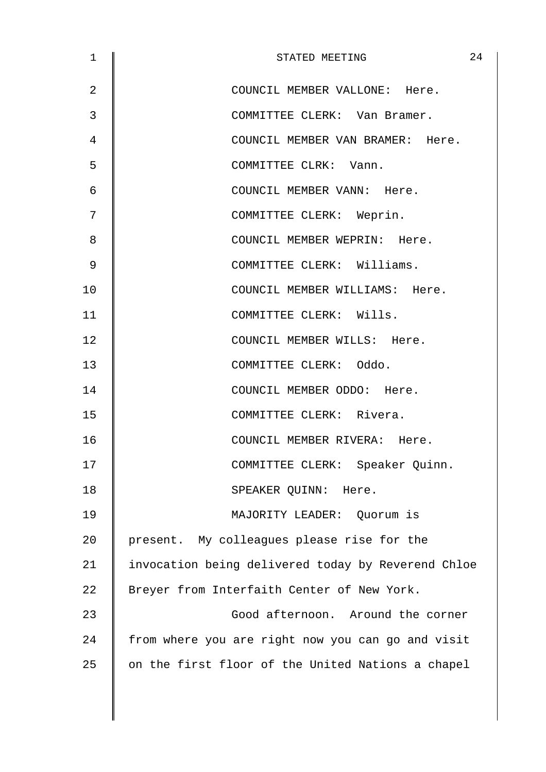| $\mathbf 1$ | 24<br>STATED MEETING                               |
|-------------|----------------------------------------------------|
| 2           | COUNCIL MEMBER VALLONE: Here.                      |
| 3           | COMMITTEE CLERK: Van Bramer.                       |
| 4           | COUNCIL MEMBER VAN BRAMER: Here.                   |
| 5           | COMMITTEE CLRK: Vann.                              |
| 6           | COUNCIL MEMBER VANN: Here.                         |
| 7           | COMMITTEE CLERK: Weprin.                           |
| 8           | COUNCIL MEMBER WEPRIN: Here.                       |
| 9           | COMMITTEE CLERK: Williams.                         |
| 10          | COUNCIL MEMBER WILLIAMS: Here.                     |
| 11          | COMMITTEE CLERK: Wills.                            |
| 12          | COUNCIL MEMBER WILLS: Here.                        |
| 13          | COMMITTEE CLERK: Oddo.                             |
| 14          | COUNCIL MEMBER ODDO: Here.                         |
| 15          | COMMITTEE CLERK: Rivera.                           |
| 16          | COUNCIL MEMBER RIVERA: Here.                       |
| 17          | COMMITTEE CLERK: Speaker Quinn.                    |
| 18          | SPEAKER QUINN: Here.                               |
| 19          | MAJORITY LEADER: Quorum is                         |
| 20          | present. My colleagues please rise for the         |
| 21          | invocation being delivered today by Reverend Chloe |
| 22          | Breyer from Interfaith Center of New York.         |
| 23          | Good afternoon. Around the corner                  |
| 24          | from where you are right now you can go and visit  |
| 25          | on the first floor of the United Nations a chapel  |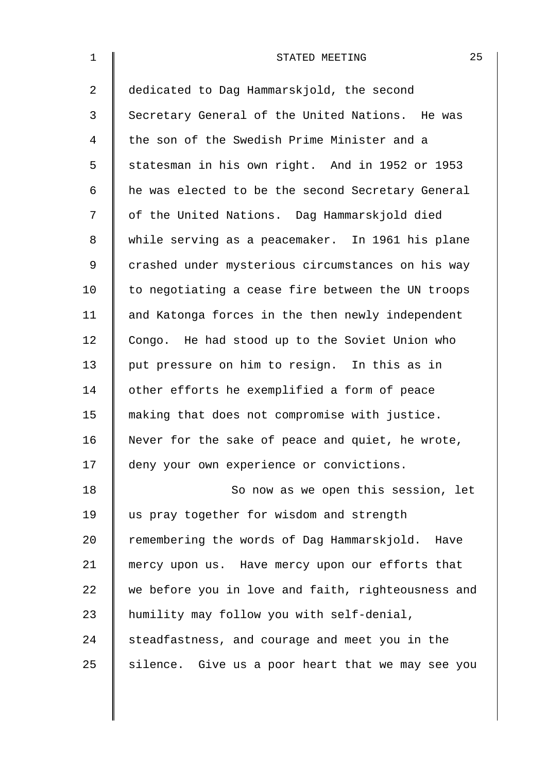| $\mathbf 1$    | 25<br>STATED MEETING                               |
|----------------|----------------------------------------------------|
| $\overline{a}$ | dedicated to Dag Hammarskjold, the second          |
| 3              | Secretary General of the United Nations. He was    |
| 4              | the son of the Swedish Prime Minister and a        |
| 5              | statesman in his own right. And in 1952 or 1953    |
| 6              | he was elected to be the second Secretary General  |
| 7              | of the United Nations. Dag Hammarskjold died       |
| 8              | while serving as a peacemaker. In 1961 his plane   |
| 9              | crashed under mysterious circumstances on his way  |
| 10             | to negotiating a cease fire between the UN troops  |
| 11             | and Katonga forces in the then newly independent   |
| 12             | Congo. He had stood up to the Soviet Union who     |
| 13             | put pressure on him to resign. In this as in       |
| 14             | other efforts he exemplified a form of peace       |
| 15             | making that does not compromise with justice.      |
| 16             | Never for the sake of peace and quiet, he wrote,   |
| 17             | deny your own experience or convictions.           |
| 18             | So now as we open this session, let                |
| 19             | us pray together for wisdom and strength           |
| 20             | remembering the words of Dag Hammarskjold. Have    |
| 21             | mercy upon us. Have mercy upon our efforts that    |
| 22             | we before you in love and faith, righteousness and |
| 23             | humility may follow you with self-denial,          |
| 24             | steadfastness, and courage and meet you in the     |
| 25             | silence. Give us a poor heart that we may see you  |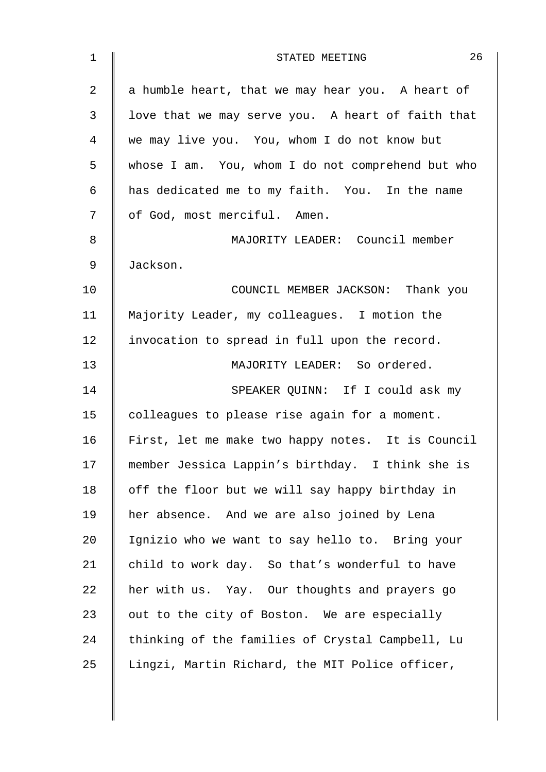| $\mathbf 1$    | 26<br>STATED MEETING                              |
|----------------|---------------------------------------------------|
| $\overline{2}$ | a humble heart, that we may hear you. A heart of  |
| 3              | love that we may serve you. A heart of faith that |
| 4              | we may live you. You, whom I do not know but      |
| 5              | whose I am. You, whom I do not comprehend but who |
| 6              | has dedicated me to my faith. You. In the name    |
| 7              | of God, most merciful. Amen.                      |
| 8              | MAJORITY LEADER: Council member                   |
| 9              | Jackson.                                          |
| 10             | COUNCIL MEMBER JACKSON: Thank you                 |
| 11             | Majority Leader, my colleagues. I motion the      |
| 12             | invocation to spread in full upon the record.     |
| 13             | MAJORITY LEADER: So ordered.                      |
| 14             | SPEAKER QUINN: If I could ask my                  |
| 15             | colleagues to please rise again for a moment.     |
| 16             | First, let me make two happy notes. It is Council |
| 17             | member Jessica Lappin's birthday. I think she is  |
| 18             | off the floor but we will say happy birthday in   |
| 19             | her absence. And we are also joined by Lena       |
| 20             | Ignizio who we want to say hello to. Bring your   |
| 21             | child to work day. So that's wonderful to have    |
| 22             | her with us. Yay. Our thoughts and prayers go     |
| 23             | out to the city of Boston. We are especially      |
| 24             | thinking of the families of Crystal Campbell, Lu  |
| 25             | Lingzi, Martin Richard, the MIT Police officer,   |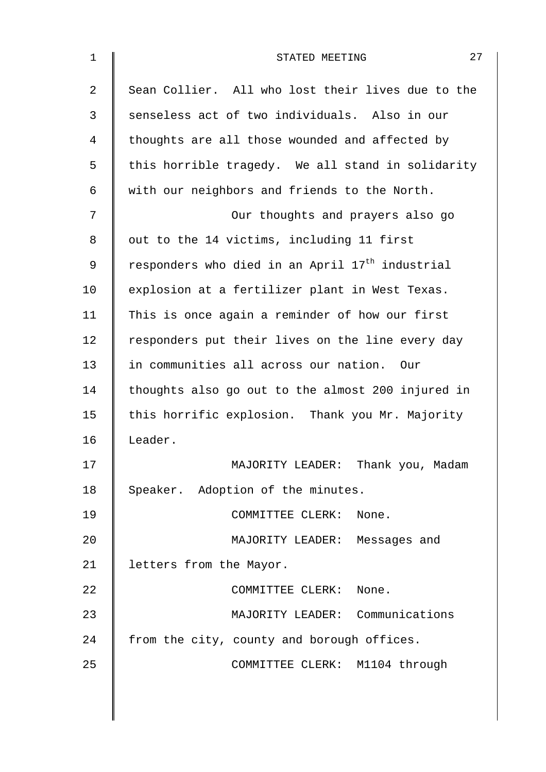| $\mathbf 1$ | 27<br>STATED MEETING                                        |
|-------------|-------------------------------------------------------------|
| 2           | Sean Collier. All who lost their lives due to the           |
| 3           | senseless act of two individuals. Also in our               |
| 4           | thoughts are all those wounded and affected by              |
| 5           | this horrible tragedy. We all stand in solidarity           |
| 6           | with our neighbors and friends to the North.                |
| 7           | Our thoughts and prayers also go                            |
| 8           | out to the 14 victims, including 11 first                   |
| 9           | responders who died in an April 17 <sup>th</sup> industrial |
| 10          | explosion at a fertilizer plant in West Texas.              |
| 11          | This is once again a reminder of how our first              |
| 12          | responders put their lives on the line every day            |
| 13          | in communities all across our nation. Our                   |
| 14          | thoughts also go out to the almost 200 injured in           |
| 15          | this horrific explosion. Thank you Mr. Majority             |
| 16          | Leader.                                                     |
| 17          | MAJORITY LEADER: Thank you, Madam                           |
| 18          | Speaker. Adoption of the minutes.                           |
| 19          | COMMITTEE CLERK:<br>None.                                   |
| 20          | MAJORITY LEADER: Messages and                               |
| 21          | letters from the Mayor.                                     |
| 22          | COMMITTEE CLERK: None.                                      |
| 23          | MAJORITY LEADER: Communications                             |
| 24          | from the city, county and borough offices.                  |
| 25          | COMMITTEE CLERK: M1104 through                              |
|             |                                                             |
|             |                                                             |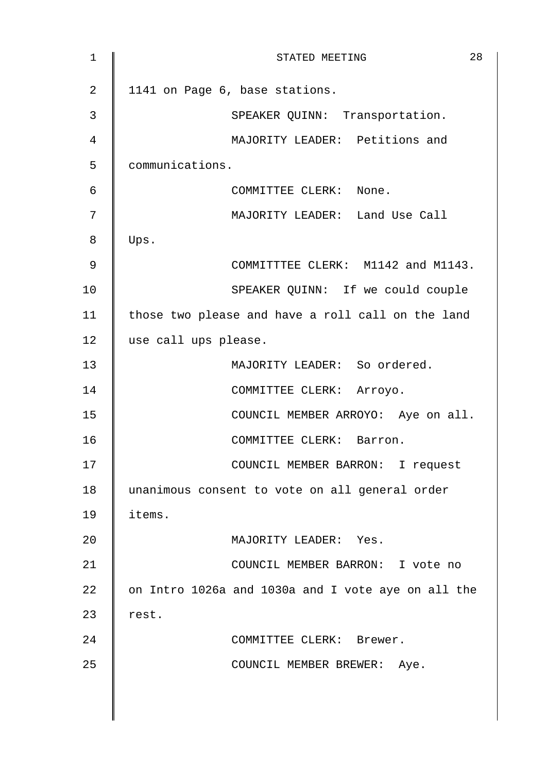| $\mathbf 1$    | 28<br>STATED MEETING                               |
|----------------|----------------------------------------------------|
| $\overline{2}$ | 1141 on Page 6, base stations.                     |
| 3              | SPEAKER QUINN: Transportation.                     |
| 4              | MAJORITY LEADER: Petitions and                     |
| 5              | communications.                                    |
| 6              | COMMITTEE CLERK: None.                             |
| 7              | MAJORITY LEADER: Land Use Call                     |
| 8              | Ups.                                               |
| 9              | COMMITTTEE CLERK: M1142 and M1143.                 |
| 10             | SPEAKER QUINN: If we could couple                  |
| 11             | those two please and have a roll call on the land  |
| 12             | use call ups please.                               |
| 13             | MAJORITY LEADER: So ordered.                       |
| 14             | COMMITTEE CLERK: Arroyo.                           |
| 15             | COUNCIL MEMBER ARROYO: Aye on all.                 |
| 16             | COMMITTEE CLERK: Barron.                           |
| 17             | COUNCIL MEMBER BARRON: I request                   |
| 18             | unanimous consent to vote on all general order     |
| 19             | items.                                             |
| 20             | MAJORITY LEADER: Yes.                              |
| 21             | COUNCIL MEMBER BARRON: I vote no                   |
| 22             | on Intro 1026a and 1030a and I vote aye on all the |
| 23             | rest.                                              |
| 24             | COMMITTEE CLERK: Brewer.                           |
| 25             | COUNCIL MEMBER BREWER: Aye.                        |
|                |                                                    |
|                |                                                    |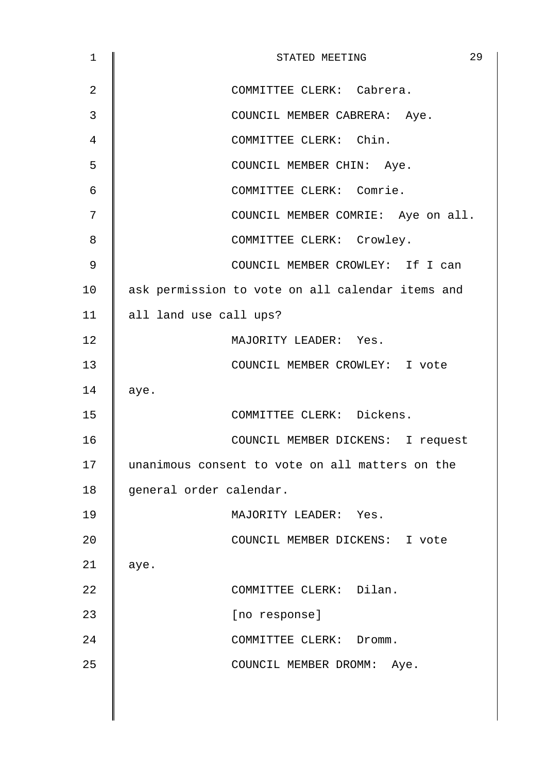| $\mathbf 1$ | 29<br>STATED MEETING                             |
|-------------|--------------------------------------------------|
| 2           | COMMITTEE CLERK: Cabrera.                        |
| 3           | COUNCIL MEMBER CABRERA: Aye.                     |
| 4           | COMMITTEE CLERK: Chin.                           |
| 5           | COUNCIL MEMBER CHIN: Aye.                        |
| 6           | COMMITTEE CLERK: Comrie.                         |
| 7           | COUNCIL MEMBER COMRIE: Aye on all.               |
| 8           | COMMITTEE CLERK: Crowley.                        |
| 9           | COUNCIL MEMBER CROWLEY: If I can                 |
| 10          | ask permission to vote on all calendar items and |
| 11          | all land use call ups?                           |
| 12          | MAJORITY LEADER: Yes.                            |
| 13          | COUNCIL MEMBER CROWLEY: I vote                   |
| 14          | aye.                                             |
| 15          | COMMITTEE CLERK: Dickens.                        |
| 16          | COUNCIL MEMBER DICKENS: I request                |
| 17          | unanimous consent to vote on all matters on the  |
| 18          | general order calendar.                          |
| 19          | MAJORITY LEADER: Yes.                            |
| 20          | COUNCIL MEMBER DICKENS: I vote                   |
| 21          | aye.                                             |
| 22          | COMMITTEE CLERK: Dilan.                          |
| 23          | [no response]                                    |
| 24          | COMMITTEE CLERK: Dromm.                          |
| 25          | COUNCIL MEMBER DROMM: Aye.                       |
|             |                                                  |
|             |                                                  |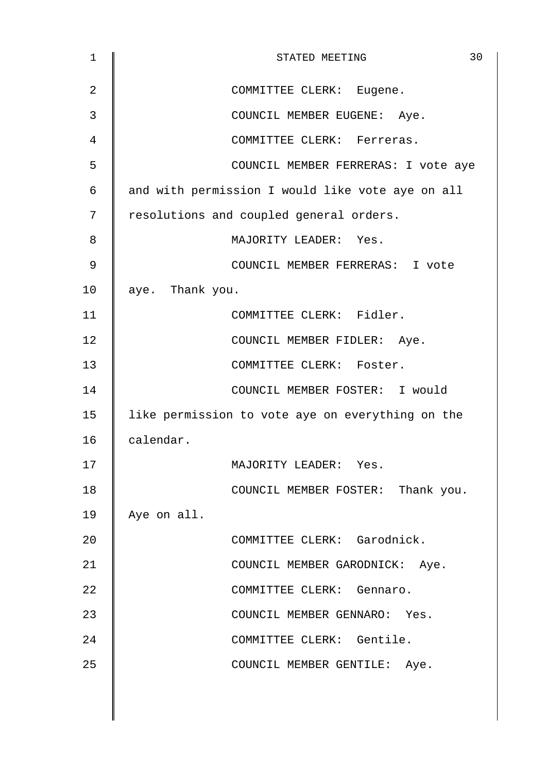| $\mathbf 1$    | 30<br>STATED MEETING                             |
|----------------|--------------------------------------------------|
| $\overline{2}$ | COMMITTEE CLERK: Eugene.                         |
| 3              | COUNCIL MEMBER EUGENE: Aye.                      |
| 4              | COMMITTEE CLERK: Ferreras.                       |
| 5              | COUNCIL MEMBER FERRERAS: I vote aye              |
| 6              | and with permission I would like vote aye on all |
| 7              | resolutions and coupled general orders.          |
| 8              | MAJORITY LEADER: Yes.                            |
| 9              | COUNCIL MEMBER FERRERAS: I vote                  |
| 10             | aye. Thank you.                                  |
| 11             | COMMITTEE CLERK: Fidler.                         |
| 12             | COUNCIL MEMBER FIDLER: Aye.                      |
| 13             | COMMITTEE CLERK: Foster.                         |
| 14             | COUNCIL MEMBER FOSTER: I would                   |
| 15             | like permission to vote aye on everything on the |
| 16             | calendar.                                        |
| 17             | MAJORITY LEADER: Yes.                            |
| 18             | COUNCIL MEMBER FOSTER: Thank you.                |
| 19             | Aye on all.                                      |
| 20             | COMMITTEE CLERK: Garodnick.                      |
| 21             | COUNCIL MEMBER GARODNICK: Aye.                   |
| 22             | COMMITTEE CLERK: Gennaro.                        |
| 23             | COUNCIL MEMBER GENNARO: Yes.                     |
| 24             | COMMITTEE CLERK: Gentile.                        |
| 25             | COUNCIL MEMBER GENTILE: Aye.                     |
|                |                                                  |
|                |                                                  |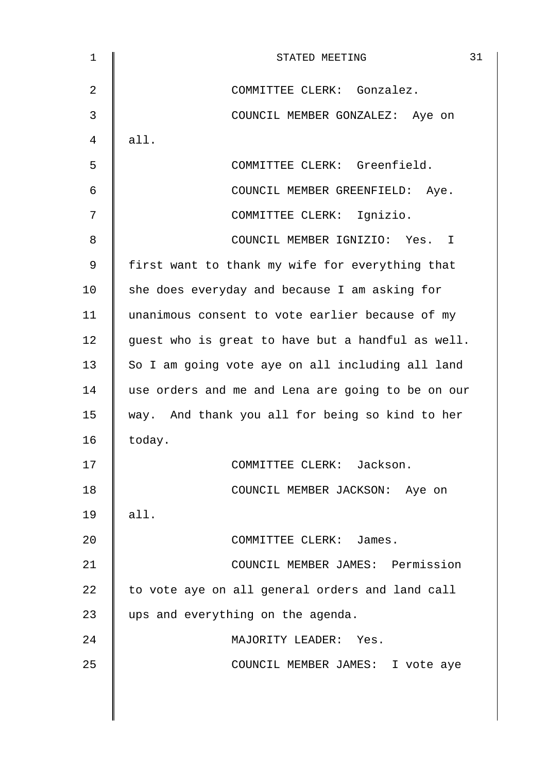| 1              | 31<br>STATED MEETING                              |
|----------------|---------------------------------------------------|
| $\overline{2}$ | COMMITTEE CLERK: Gonzalez.                        |
| 3              | COUNCIL MEMBER GONZALEZ: Aye on                   |
| 4              | all.                                              |
| 5              | COMMITTEE CLERK: Greenfield.                      |
| 6              | COUNCIL MEMBER GREENFIELD: Aye.                   |
| 7              | COMMITTEE CLERK: Ignizio.                         |
| 8              | COUNCIL MEMBER IGNIZIO: Yes. I                    |
| 9              | first want to thank my wife for everything that   |
| 10             | she does everyday and because I am asking for     |
| 11             | unanimous consent to vote earlier because of my   |
| 12             | guest who is great to have but a handful as well. |
| 13             | So I am going vote aye on all including all land  |
| 14             | use orders and me and Lena are going to be on our |
| 15             | way. And thank you all for being so kind to her   |
| 16             | today.                                            |
| 17             | COMMITTEE CLERK: Jackson.                         |
| 18             | COUNCIL MEMBER JACKSON: Aye on                    |
| 19             | all.                                              |
| 20             | COMMITTEE CLERK: James.                           |
| 21             | COUNCIL MEMBER JAMES: Permission                  |
| 22             | to vote aye on all general orders and land call   |
| 23             | ups and everything on the agenda.                 |
| 24             | MAJORITY LEADER: Yes.                             |
| 25             | COUNCIL MEMBER JAMES: I vote aye                  |
|                |                                                   |
|                |                                                   |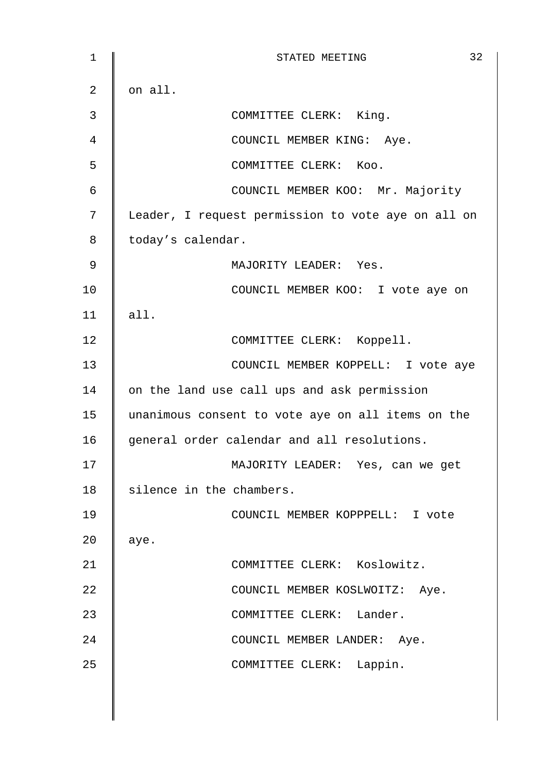| $\mathbf 1$    | 32<br>STATED MEETING                               |
|----------------|----------------------------------------------------|
| 2              | on all.                                            |
| 3              | COMMITTEE CLERK: King.                             |
| $\overline{4}$ | COUNCIL MEMBER KING: Aye.                          |
| 5              | COMMITTEE CLERK: Koo.                              |
| $\epsilon$     | COUNCIL MEMBER KOO: Mr. Majority                   |
| 7              | Leader, I request permission to vote aye on all on |
| 8              | today's calendar.                                  |
| 9              | MAJORITY LEADER: Yes.                              |
| 10             | COUNCIL MEMBER KOO: I vote aye on                  |
| 11             | all.                                               |
| 12             | COMMITTEE CLERK: Koppell.                          |
| 13             | COUNCIL MEMBER KOPPELL: I vote aye                 |
| 14             | on the land use call ups and ask permission        |
| 15             | unanimous consent to vote aye on all items on the  |
| 16             | general order calendar and all resolutions.        |
| 17             | MAJORITY LEADER: Yes, can we get                   |
| 18             | silence in the chambers.                           |
| 19             | COUNCIL MEMBER KOPPPELL: I vote                    |
| 20             | aye.                                               |
| 21             | COMMITTEE CLERK: Koslowitz.                        |
| 22             | COUNCIL MEMBER KOSLWOITZ: Aye.                     |
| 23             | COMMITTEE CLERK: Lander.                           |
| 24             | COUNCIL MEMBER LANDER: Aye.                        |
| 25             | COMMITTEE CLERK: Lappin.                           |
|                |                                                    |
|                |                                                    |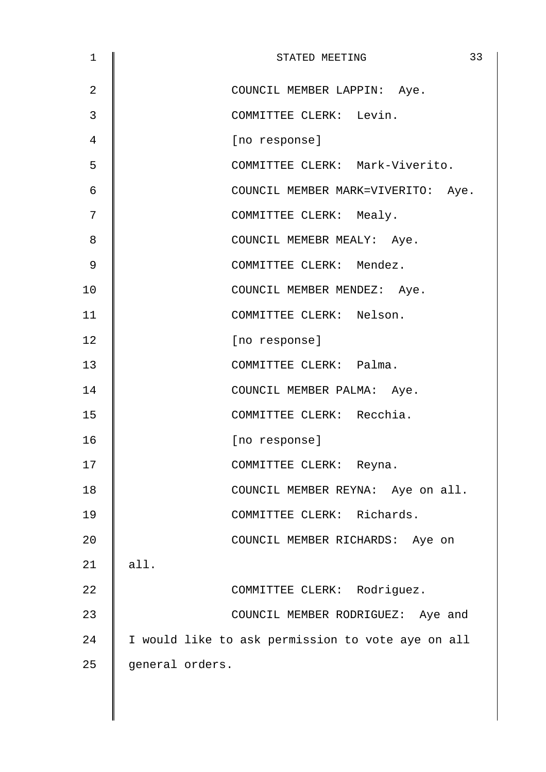| 1              | 33<br>STATED MEETING                              |
|----------------|---------------------------------------------------|
| $\overline{2}$ | COUNCIL MEMBER LAPPIN: Aye.                       |
| 3              | COMMITTEE CLERK: Levin.                           |
| 4              | [no response]                                     |
| 5              | COMMITTEE CLERK: Mark-Viverito.                   |
| 6              | COUNCIL MEMBER MARK=VIVERITO: Aye.                |
| 7              | COMMITTEE CLERK: Mealy.                           |
| 8              | COUNCIL MEMEBR MEALY: Aye.                        |
| 9              | COMMITTEE CLERK: Mendez.                          |
| 10             | COUNCIL MEMBER MENDEZ: Aye.                       |
| 11             | COMMITTEE CLERK: Nelson.                          |
| 12             | [no response]                                     |
| 13             | COMMITTEE CLERK: Palma.                           |
| 14             | COUNCIL MEMBER PALMA: Aye.                        |
| 15             | COMMITTEE CLERK: Recchia.                         |
| 16             | [no response]                                     |
| 17             | COMMITTEE CLERK: Reyna.                           |
| 18             | COUNCIL MEMBER REYNA: Aye on all.                 |
| 19             | COMMITTEE CLERK: Richards.                        |
| 20             | COUNCIL MEMBER RICHARDS: Aye on                   |
| 21             | all.                                              |
| 22             | COMMITTEE CLERK: Rodriguez.                       |
| 23             | COUNCIL MEMBER RODRIGUEZ: Aye and                 |
| 24             | I would like to ask permission to vote aye on all |
| 25             | general orders.                                   |
|                |                                                   |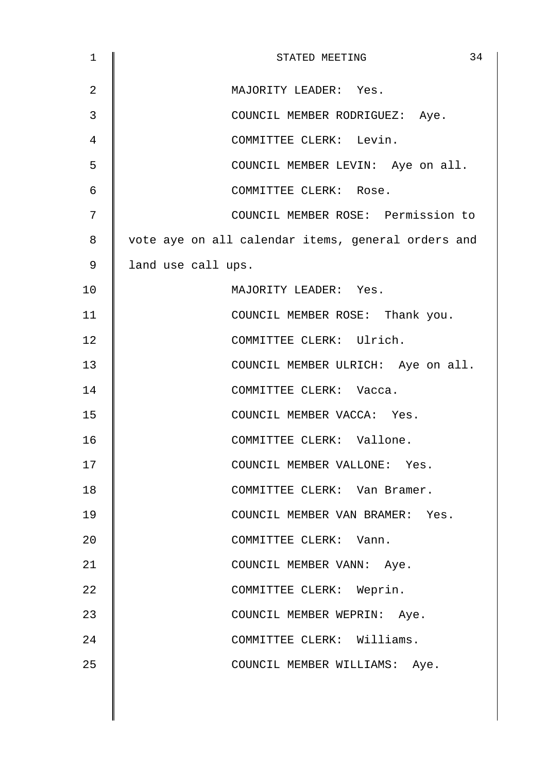| $\mathbf{1}$ | 34<br>STATED MEETING                               |
|--------------|----------------------------------------------------|
| 2            | MAJORITY LEADER: Yes.                              |
| 3            | COUNCIL MEMBER RODRIGUEZ: Aye.                     |
| 4            | COMMITTEE CLERK: Levin.                            |
| 5            | COUNCIL MEMBER LEVIN: Aye on all.                  |
| 6            | COMMITTEE CLERK: Rose.                             |
| 7            | COUNCIL MEMBER ROSE: Permission to                 |
| 8            | vote aye on all calendar items, general orders and |
| 9            | land use call ups.                                 |
| 10           | MAJORITY LEADER: Yes.                              |
| 11           | COUNCIL MEMBER ROSE: Thank you.                    |
| 12           | COMMITTEE CLERK: Ulrich.                           |
| 13           | COUNCIL MEMBER ULRICH: Aye on all.                 |
| 14           | COMMITTEE CLERK: Vacca.                            |
| 15           | COUNCIL MEMBER VACCA: Yes.                         |
| 16           | COMMITTEE CLERK: Vallone.                          |
| 17           | COUNCIL MEMBER VALLONE: Yes.                       |
| 18           | COMMITTEE CLERK: Van Bramer.                       |
| 19           | COUNCIL MEMBER VAN BRAMER: Yes.                    |
| 20           | COMMITTEE CLERK: Vann.                             |
| 21           | COUNCIL MEMBER VANN: Aye.                          |
| 22           | COMMITTEE CLERK: Weprin.                           |
| 23           | COUNCIL MEMBER WEPRIN: Aye.                        |
| 24           | COMMITTEE CLERK: Williams.                         |
| 25           | COUNCIL MEMBER WILLIAMS: Aye.                      |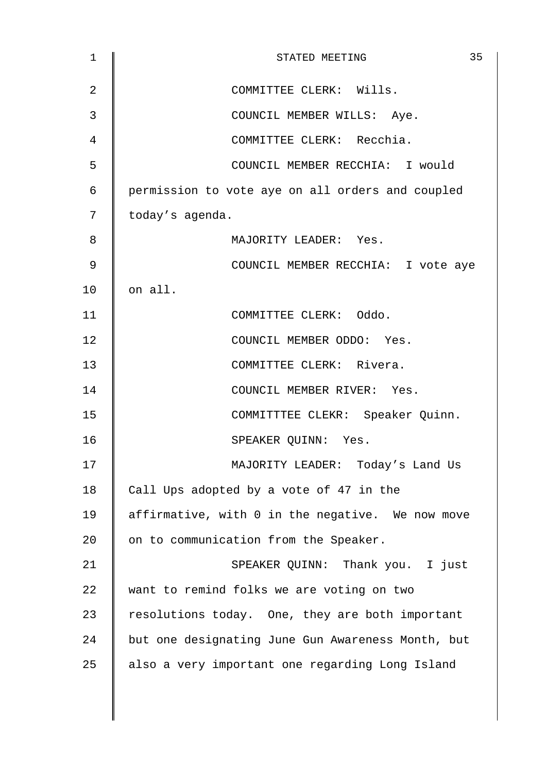| 1              | 35<br>STATED MEETING                              |
|----------------|---------------------------------------------------|
| $\overline{2}$ | COMMITTEE CLERK: Wills.                           |
| 3              | COUNCIL MEMBER WILLS: Aye.                        |
| 4              | COMMITTEE CLERK: Recchia.                         |
| 5              | COUNCIL MEMBER RECCHIA: I would                   |
| 6              | permission to vote aye on all orders and coupled  |
| 7              | today's agenda.                                   |
| 8              | MAJORITY LEADER: Yes.                             |
| 9              | COUNCIL MEMBER RECCHIA: I vote aye                |
| 10             | on all.                                           |
| 11             | COMMITTEE CLERK: Oddo.                            |
| 12             | COUNCIL MEMBER ODDO: Yes.                         |
| 13             | COMMITTEE CLERK: Rivera.                          |
| 14             | COUNCIL MEMBER RIVER: Yes.                        |
| 15             | COMMITTTEE CLEKR: Speaker Quinn.                  |
| 16             | SPEAKER QUINN: Yes.                               |
| 17             | MAJORITY LEADER: Today's Land Us                  |
| 18             | Call Ups adopted by a vote of 47 in the           |
| 19             | affirmative, with 0 in the negative. We now move  |
| 20             | on to communication from the Speaker.             |
| 21             | SPEAKER QUINN: Thank you. I just                  |
| 22             | want to remind folks we are voting on two         |
| 23             | resolutions today. One, they are both important   |
| 24             | but one designating June Gun Awareness Month, but |
| 25             | also a very important one regarding Long Island   |
|                |                                                   |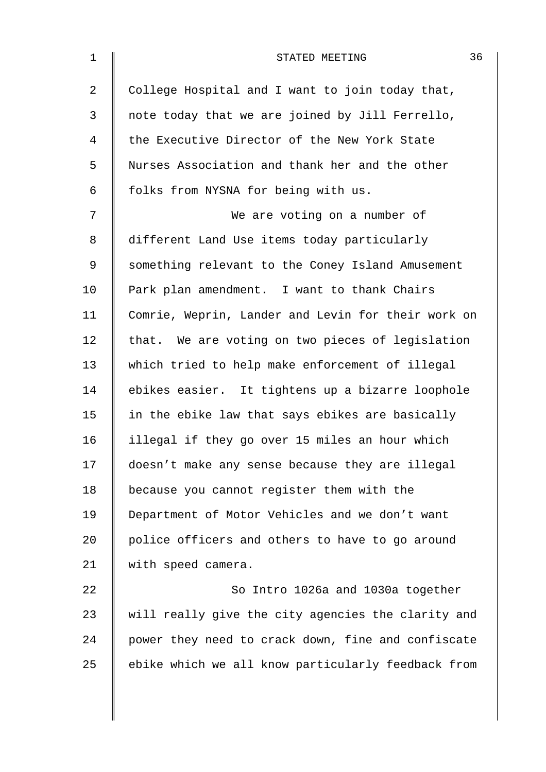| $\mathbf 1$    | 36<br>STATED MEETING                               |
|----------------|----------------------------------------------------|
| $\overline{a}$ | College Hospital and I want to join today that,    |
| 3              | note today that we are joined by Jill Ferrello,    |
| 4              | the Executive Director of the New York State       |
| 5              | Nurses Association and thank her and the other     |
| 6              | folks from NYSNA for being with us.                |
| 7              | We are voting on a number of                       |
| 8              | different Land Use items today particularly        |
| 9              | something relevant to the Coney Island Amusement   |
| 10             | Park plan amendment. I want to thank Chairs        |
| 11             | Comrie, Weprin, Lander and Levin for their work on |
| 12             | that. We are voting on two pieces of legislation   |
| 13             | which tried to help make enforcement of illegal    |
| 14             | ebikes easier. It tightens up a bizarre loophole   |
| 15             | in the ebike law that says ebikes are basically    |
| 16             | illegal if they go over 15 miles an hour which     |
| 17             | doesn't make any sense because they are illegal    |
| 18             | because you cannot register them with the          |
| 19             | Department of Motor Vehicles and we don't want     |
| 20             | police officers and others to have to go around    |
| 21             | with speed camera.                                 |
| 22             | So Intro 1026a and 1030a together                  |
| 23             | will really give the city agencies the clarity and |
| 24             | power they need to crack down, fine and confiscate |
| 25             | ebike which we all know particularly feedback from |
|                |                                                    |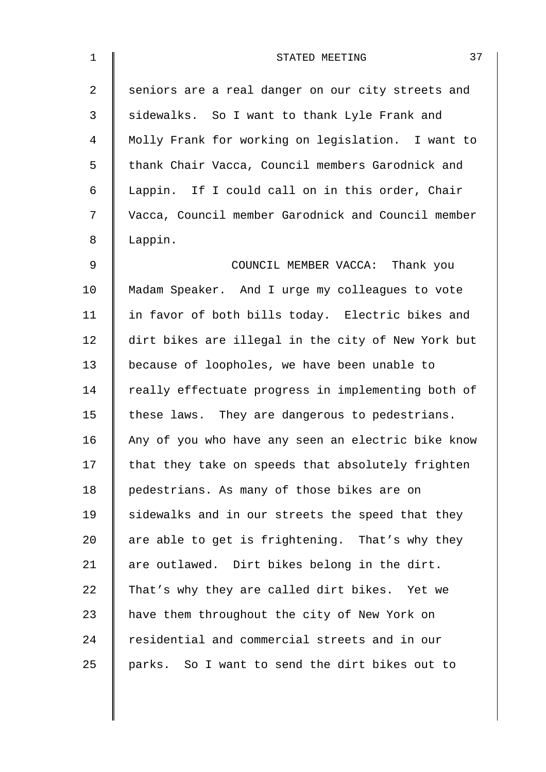| $\mathbf{1}$   | 37<br>STATED MEETING                               |
|----------------|----------------------------------------------------|
| $\overline{a}$ | seniors are a real danger on our city streets and  |
| 3              | sidewalks. So I want to thank Lyle Frank and       |
| 4              | Molly Frank for working on legislation. I want to  |
| 5              | thank Chair Vacca, Council members Garodnick and   |
| 6              | Lappin. If I could call on in this order, Chair    |
| 7              | Vacca, Council member Garodnick and Council member |
| 8              | Lappin.                                            |
| $\mathsf 9$    | COUNCIL MEMBER VACCA: Thank you                    |
| 10             | Madam Speaker. And I urge my colleagues to vote    |
| 11             | in favor of both bills today. Electric bikes and   |
| 12             | dirt bikes are illegal in the city of New York but |
| 13             | because of loopholes, we have been unable to       |
| 14             | really effectuate progress in implementing both of |
| 15             | these laws. They are dangerous to pedestrians.     |
| 16             | Any of you who have any seen an electric bike know |
| 17             | that they take on speeds that absolutely frighten  |
| 18             | pedestrians. As many of those bikes are on         |
| 19             | sidewalks and in our streets the speed that they   |
| 20             | are able to get is frightening. That's why they    |
| 21             | are outlawed. Dirt bikes belong in the dirt.       |
| 22             | That's why they are called dirt bikes. Yet we      |
| 23             | have them throughout the city of New York on       |
| 24             | residential and commercial streets and in our      |
| 25             | parks. So I want to send the dirt bikes out to     |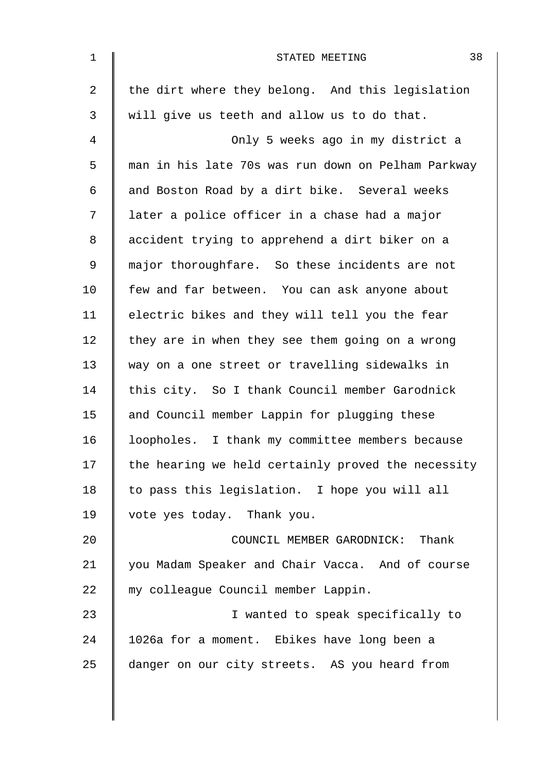| $\mathbf 1$    | 38<br>STATED MEETING                               |
|----------------|----------------------------------------------------|
| $\overline{a}$ | the dirt where they belong. And this legislation   |
| 3              | will give us teeth and allow us to do that.        |
| 4              | Only 5 weeks ago in my district a                  |
| 5              | man in his late 70s was run down on Pelham Parkway |
| 6              | and Boston Road by a dirt bike. Several weeks      |
| 7              | later a police officer in a chase had a major      |
| 8              | accident trying to apprehend a dirt biker on a     |
| 9              | major thoroughfare. So these incidents are not     |
| 10             | few and far between. You can ask anyone about      |
| 11             | electric bikes and they will tell you the fear     |
| 12             | they are in when they see them going on a wrong    |
| 13             | way on a one street or travelling sidewalks in     |
| 14             | this city. So I thank Council member Garodnick     |
| 15             | and Council member Lappin for plugging these       |
| 16             | loopholes. I thank my committee members because    |
| 17             | the hearing we held certainly proved the necessity |
| 18             | to pass this legislation. I hope you will all      |
| 19             | vote yes today. Thank you.                         |
| 20             | COUNCIL MEMBER GARODNICK: Thank                    |
| 21             | you Madam Speaker and Chair Vacca. And of course   |
| 22             | my colleague Council member Lappin.                |
| 23             | I wanted to speak specifically to                  |
| 24             | 1026a for a moment. Ebikes have long been a        |
| 25             | danger on our city streets. AS you heard from      |
|                |                                                    |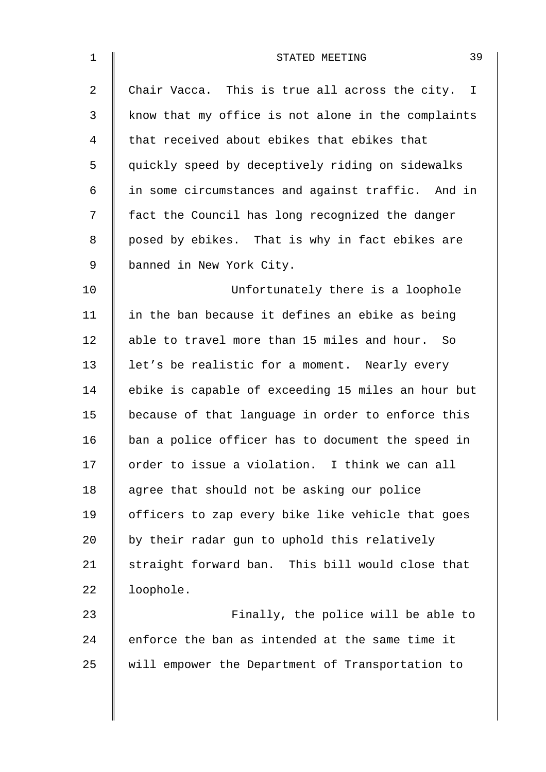| $\mathbf 1$ | 39<br>STATED MEETING                               |
|-------------|----------------------------------------------------|
| 2           | Chair Vacca. This is true all across the city. I   |
| 3           | know that my office is not alone in the complaints |
| 4           | that received about ebikes that ebikes that        |
| 5           | quickly speed by deceptively riding on sidewalks   |
| 6           | in some circumstances and against traffic. And in  |
| 7           | fact the Council has long recognized the danger    |
| 8           | posed by ebikes. That is why in fact ebikes are    |
| 9           | banned in New York City.                           |
| 10          | Unfortunately there is a loophole                  |
| 11          | in the ban because it defines an ebike as being    |
| 12          | able to travel more than 15 miles and hour. So     |
| 13          | let's be realistic for a moment. Nearly every      |
| 14          | ebike is capable of exceeding 15 miles an hour but |
| 15          | because of that language in order to enforce this  |
| 16          | ban a police officer has to document the speed in  |
| 17          | order to issue a violation. I think we can all     |
| 18          | agree that should not be asking our police         |
| 19          | officers to zap every bike like vehicle that goes  |
| 20          | by their radar gun to uphold this relatively       |
| 21          | straight forward ban. This bill would close that   |
| 22          | loophole.                                          |
| 23          | Finally, the police will be able to                |
| 24          | enforce the ban as intended at the same time it    |
| 25          | will empower the Department of Transportation to   |
|             |                                                    |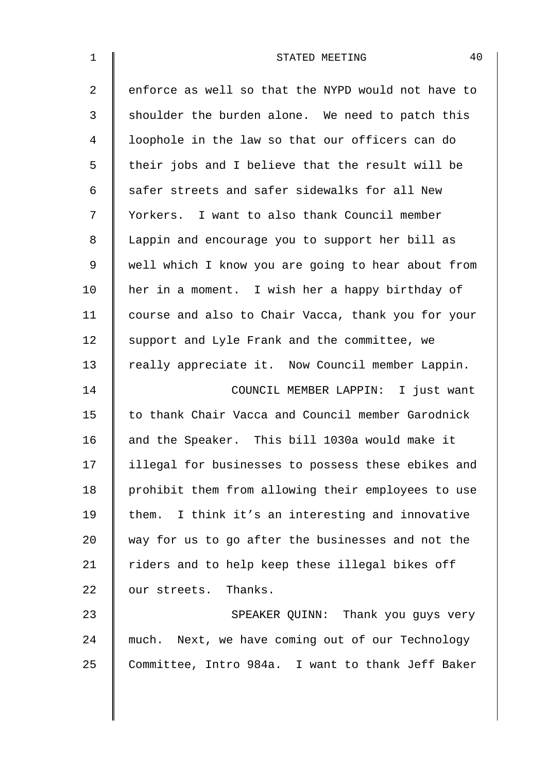| $\mathbf 1$    | 40<br>STATED MEETING                               |
|----------------|----------------------------------------------------|
| $\overline{2}$ | enforce as well so that the NYPD would not have to |
| 3              | shoulder the burden alone. We need to patch this   |
| 4              | loophole in the law so that our officers can do    |
| 5              | their jobs and I believe that the result will be   |
| 6              | safer streets and safer sidewalks for all New      |
| 7              | Yorkers. I want to also thank Council member       |
| 8              | Lappin and encourage you to support her bill as    |
| 9              | well which I know you are going to hear about from |
| 10             | her in a moment. I wish her a happy birthday of    |
| 11             | course and also to Chair Vacca, thank you for your |
| 12             | support and Lyle Frank and the committee, we       |
| 13             | really appreciate it. Now Council member Lappin.   |
| 14             | COUNCIL MEMBER LAPPIN: I just want                 |
| 15             | to thank Chair Vacca and Council member Garodnick  |
| 16             | and the Speaker. This bill 1030a would make it     |
| 17             | illegal for businesses to possess these ebikes and |
| 18             | prohibit them from allowing their employees to use |
| 19             | them. I think it's an interesting and innovative   |
| 20             | way for us to go after the businesses and not the  |
| 21             | riders and to help keep these illegal bikes off    |
| 22             | our streets. Thanks.                               |
| 23             | SPEAKER QUINN: Thank you guys very                 |
| 24             | much. Next, we have coming out of our Technology   |
| 25             | Committee, Intro 984a. I want to thank Jeff Baker  |
|                |                                                    |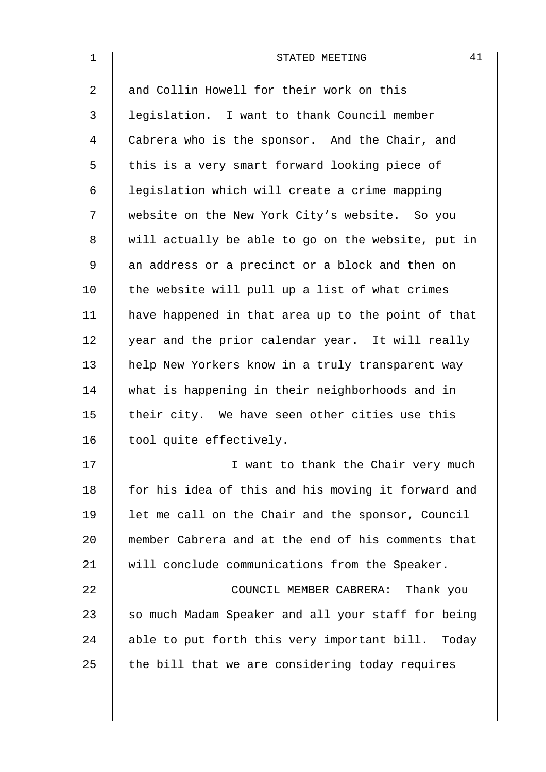| $\mathbf 1$    | 41<br>STATED MEETING                               |
|----------------|----------------------------------------------------|
| $\overline{a}$ | and Collin Howell for their work on this           |
| 3              | legislation. I want to thank Council member        |
| 4              | Cabrera who is the sponsor. And the Chair, and     |
| 5              | this is a very smart forward looking piece of      |
| 6              | legislation which will create a crime mapping      |
| 7              | website on the New York City's website. So you     |
| 8              | will actually be able to go on the website, put in |
| 9              | an address or a precinct or a block and then on    |
| 10             | the website will pull up a list of what crimes     |
| 11             | have happened in that area up to the point of that |
| 12             | year and the prior calendar year. It will really   |
| 13             | help New Yorkers know in a truly transparent way   |
| 14             | what is happening in their neighborhoods and in    |
| 15             | their city. We have seen other cities use this     |
| 16             | tool quite effectively.                            |
| 17             | I want to thank the Chair very much                |
| 18             | for his idea of this and his moving it forward and |
| 19             | let me call on the Chair and the sponsor, Council  |
| 20             | member Cabrera and at the end of his comments that |
| 21             | will conclude communications from the Speaker.     |
| 22             | COUNCIL MEMBER CABRERA: Thank you                  |
| 23             | so much Madam Speaker and all your staff for being |
| 24             | able to put forth this very important bill. Today  |
| 25             | the bill that we are considering today requires    |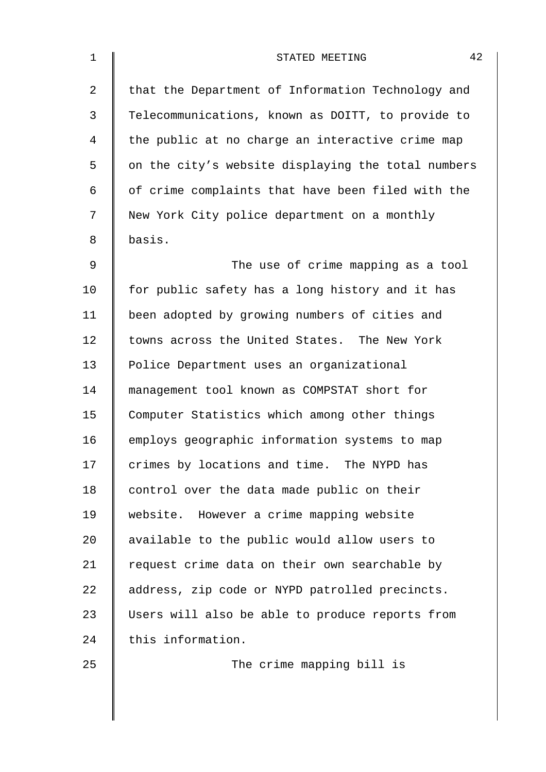| $\mathbf{1}$ | 42<br>STATED MEETING                               |
|--------------|----------------------------------------------------|
| 2            | that the Department of Information Technology and  |
| 3            | Telecommunications, known as DOITT, to provide to  |
| 4            | the public at no charge an interactive crime map   |
| 5            | on the city's website displaying the total numbers |
| 6            | of crime complaints that have been filed with the  |
| 7            | New York City police department on a monthly       |
| 8            | basis.                                             |
| 9            | The use of crime mapping as a tool                 |
| 10           | for public safety has a long history and it has    |
| 11           | been adopted by growing numbers of cities and      |
| 12           | towns across the United States. The New York       |
| 13           | Police Department uses an organizational           |
| 14           | management tool known as COMPSTAT short for        |
| 15           | Computer Statistics which among other things       |
| 16           | employs geographic information systems to map      |
| 17           | crimes by locations and time. The NYPD has         |
| 18           | control over the data made public on their         |
| 19           | website. However a crime mapping website           |
| 20           | available to the public would allow users to       |
| 21           | request crime data on their own searchable by      |
| 22           | address, zip code or NYPD patrolled precincts.     |
| 23           | Users will also be able to produce reports from    |
| 24           | this information.                                  |
| 25           | The crime mapping bill is                          |
|              |                                                    |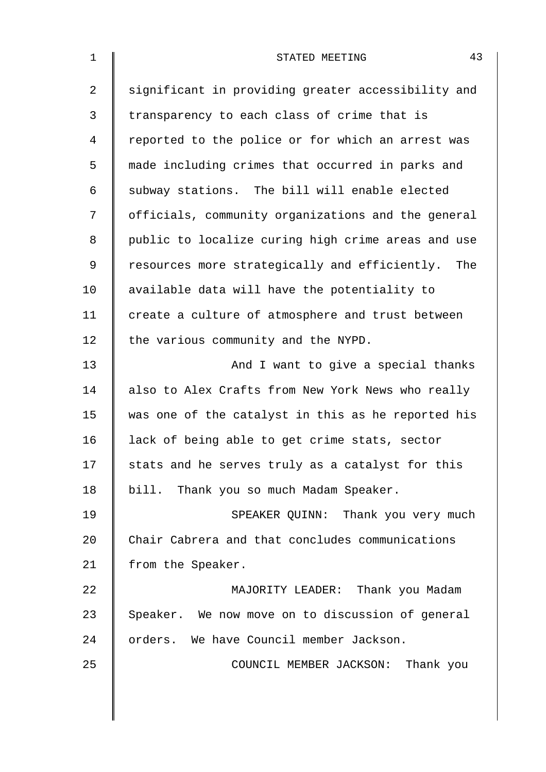| $\mathbf 1$    | 43<br>STATED MEETING                               |
|----------------|----------------------------------------------------|
| $\overline{2}$ | significant in providing greater accessibility and |
| 3              | transparency to each class of crime that is        |
| 4              | reported to the police or for which an arrest was  |
| 5              | made including crimes that occurred in parks and   |
| 6              | subway stations. The bill will enable elected      |
| 7              | officials, community organizations and the general |
| 8              | public to localize curing high crime areas and use |
| $\mathsf 9$    | resources more strategically and efficiently. The  |
| 10             | available data will have the potentiality to       |
| 11             | create a culture of atmosphere and trust between   |
| 12             | the various community and the NYPD.                |
| 13             | And I want to give a special thanks                |
| 14             | also to Alex Crafts from New York News who really  |
| 15             | was one of the catalyst in this as he reported his |
| 16             | lack of being able to get crime stats, sector      |
| 17             | stats and he serves truly as a catalyst for this   |
| 18             | bill. Thank you so much Madam Speaker.             |
| 19             | SPEAKER QUINN: Thank you very much                 |
| 20             | Chair Cabrera and that concludes communications    |
| 21             | from the Speaker.                                  |
| 22             | MAJORITY LEADER: Thank you Madam                   |
| 23             | Speaker. We now move on to discussion of general   |
| 24             | orders. We have Council member Jackson.            |
| 25             | COUNCIL MEMBER JACKSON: Thank you                  |
|                |                                                    |
|                |                                                    |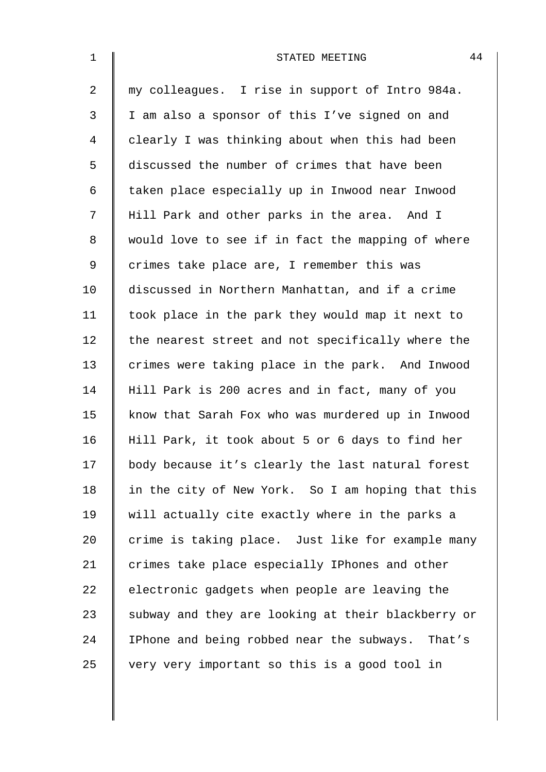| $\mathbf{1}$   | 44<br>STATED MEETING                               |
|----------------|----------------------------------------------------|
| $\overline{2}$ | my colleagues. I rise in support of Intro 984a.    |
| 3              | I am also a sponsor of this I've signed on and     |
| 4              | clearly I was thinking about when this had been    |
| 5              | discussed the number of crimes that have been      |
| 6              | taken place especially up in Inwood near Inwood    |
| 7              | Hill Park and other parks in the area. And I       |
| 8              | would love to see if in fact the mapping of where  |
| 9              | crimes take place are, I remember this was         |
| 10             | discussed in Northern Manhattan, and if a crime    |
| 11             | took place in the park they would map it next to   |
| 12             | the nearest street and not specifically where the  |
| 13             | crimes were taking place in the park. And Inwood   |
| 14             | Hill Park is 200 acres and in fact, many of you    |
| 15             | know that Sarah Fox who was murdered up in Inwood  |
| 16             | Hill Park, it took about 5 or 6 days to find her   |
| 17             | body because it's clearly the last natural forest  |
| 18             | in the city of New York. So I am hoping that this  |
| 19             | will actually cite exactly where in the parks a    |
| 20             | crime is taking place. Just like for example many  |
| 21             | crimes take place especially IPhones and other     |
| 22             | electronic gadgets when people are leaving the     |
| 23             | subway and they are looking at their blackberry or |
| 24             | IPhone and being robbed near the subways. That's   |
| 25             | very very important so this is a good tool in      |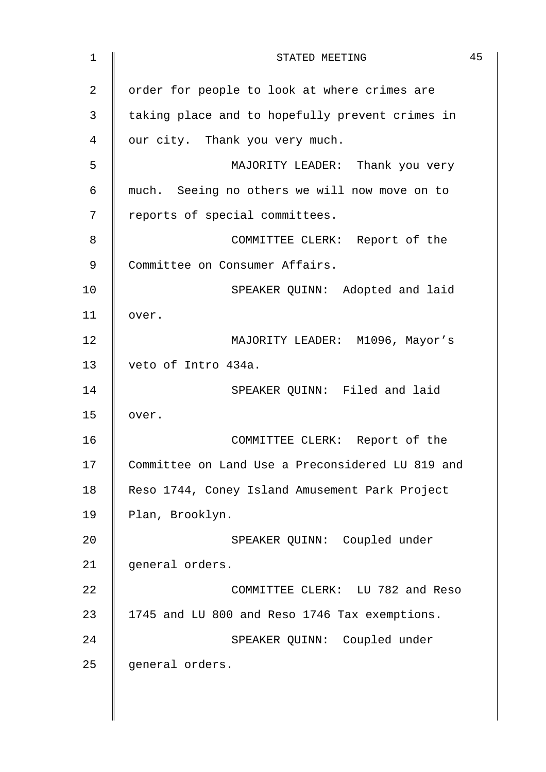| 1              | STATED MEETING                                   | 45 |
|----------------|--------------------------------------------------|----|
| $\overline{2}$ | order for people to look at where crimes are     |    |
| 3              | taking place and to hopefully prevent crimes in  |    |
| 4              | our city. Thank you very much.                   |    |
| 5              | MAJORITY LEADER: Thank you very                  |    |
| 6              | much. Seeing no others we will now move on to    |    |
| 7              | reports of special committees.                   |    |
| 8              | COMMITTEE CLERK: Report of the                   |    |
| 9              | Committee on Consumer Affairs.                   |    |
| 10             | SPEAKER QUINN: Adopted and laid                  |    |
| 11             | over.                                            |    |
| 12             | MAJORITY LEADER: M1096, Mayor's                  |    |
| 13             | veto of Intro 434a.                              |    |
| 14             | SPEAKER QUINN: Filed and laid                    |    |
| 15             | over.                                            |    |
| 16             | COMMITTEE CLERK: Report of the                   |    |
| 17             | Committee on Land Use a Preconsidered LU 819 and |    |
| 18             | Reso 1744, Coney Island Amusement Park Project   |    |
| 19             | Plan, Brooklyn.                                  |    |
| 20             | SPEAKER QUINN: Coupled under                     |    |
| 21             | general orders.                                  |    |
| 22             | COMMITTEE CLERK: LU 782 and Reso                 |    |
| 23             | 1745 and LU 800 and Reso 1746 Tax exemptions.    |    |
| 24             | SPEAKER QUINN: Coupled under                     |    |
| 25             | general orders.                                  |    |
|                |                                                  |    |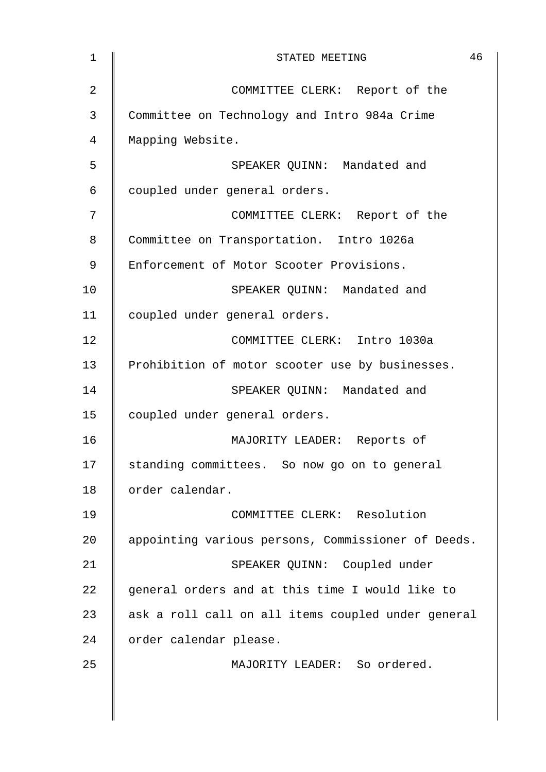| $\mathbf 1$ | 46<br>STATED MEETING                               |
|-------------|----------------------------------------------------|
| 2           | COMMITTEE CLERK: Report of the                     |
| 3           | Committee on Technology and Intro 984a Crime       |
| 4           | Mapping Website.                                   |
| 5           | SPEAKER QUINN: Mandated and                        |
| 6           | coupled under general orders.                      |
| 7           | COMMITTEE CLERK: Report of the                     |
| 8           | Committee on Transportation. Intro 1026a           |
| 9           | Enforcement of Motor Scooter Provisions.           |
| 10          | SPEAKER OUINN: Mandated and                        |
| 11          | coupled under general orders.                      |
| 12          | COMMITTEE CLERK: Intro 1030a                       |
| 13          | Prohibition of motor scooter use by businesses.    |
| 14          | SPEAKER QUINN: Mandated and                        |
| 15          | coupled under general orders.                      |
| 16          | MAJORITY LEADER: Reports of                        |
| 17          | standing committees. So now go on to general       |
| 18          | order calendar.                                    |
| 19          | COMMITTEE CLERK: Resolution                        |
| 20          | appointing various persons, Commissioner of Deeds. |
| 21          | SPEAKER QUINN: Coupled under                       |
| 22          | general orders and at this time I would like to    |
| 23          | ask a roll call on all items coupled under general |
| 24          | order calendar please.                             |
| 25          | MAJORITY LEADER: So ordered.                       |
|             |                                                    |
|             |                                                    |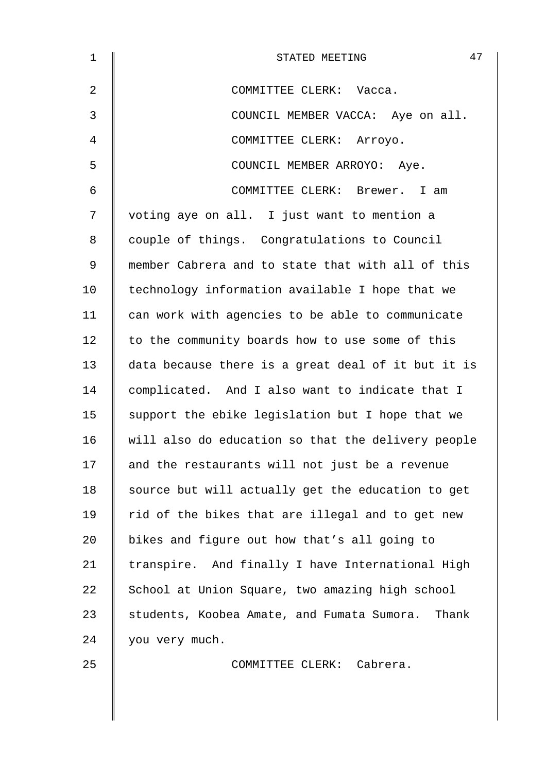| $\mathbf 1$    | 47<br>STATED MEETING                                |
|----------------|-----------------------------------------------------|
| $\overline{2}$ | COMMITTEE CLERK: Vacca.                             |
| 3              | COUNCIL MEMBER VACCA: Aye on all.                   |
| 4              | COMMITTEE CLERK: Arroyo.                            |
| 5              | COUNCIL MEMBER ARROYO: Aye.                         |
| 6              | COMMITTEE CLERK: Brewer. I am                       |
| 7              | voting aye on all. I just want to mention a         |
| 8              | couple of things. Congratulations to Council        |
| 9              | member Cabrera and to state that with all of this   |
| 10             | technology information available I hope that we     |
| 11             | can work with agencies to be able to communicate    |
| 12             | to the community boards how to use some of this     |
| 13             | data because there is a great deal of it but it is  |
| 14             | complicated. And I also want to indicate that I     |
| 15             | support the ebike legislation but I hope that we    |
| 16             | will also do education so that the delivery people  |
| 17             | and the restaurants will not just be a revenue      |
| 18             | source but will actually get the education to get   |
| 19             | rid of the bikes that are illegal and to get new    |
| 20             | bikes and figure out how that's all going to        |
| 21             | transpire. And finally I have International High    |
| 22             | School at Union Square, two amazing high school     |
| 23             | students, Koobea Amate, and Fumata Sumora.<br>Thank |
| 24             | you very much.                                      |
| 25             | COMMITTEE CLERK: Cabrera.                           |
|                |                                                     |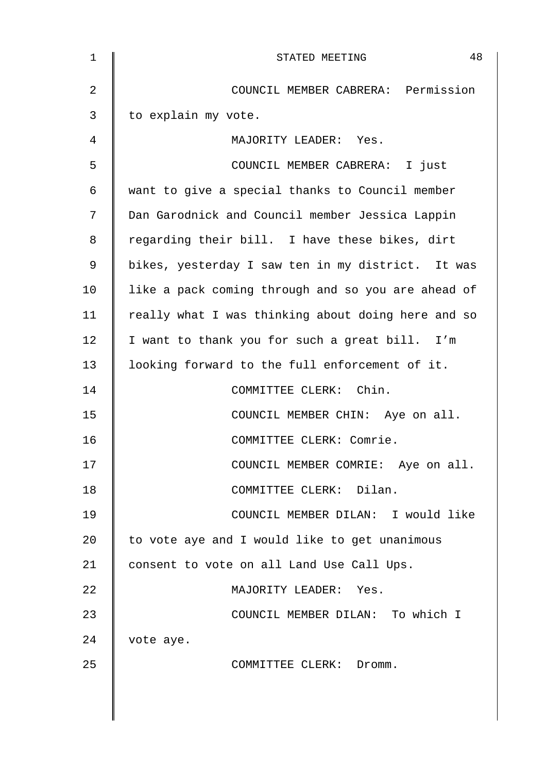| $\mathbf 1$    | 48<br>STATED MEETING                               |
|----------------|----------------------------------------------------|
| $\overline{2}$ | COUNCIL MEMBER CABRERA: Permission                 |
| 3              | to explain my vote.                                |
| 4              | MAJORITY LEADER: Yes.                              |
| 5              | COUNCIL MEMBER CABRERA: I just                     |
| 6              | want to give a special thanks to Council member    |
| 7              | Dan Garodnick and Council member Jessica Lappin    |
| 8              | regarding their bill. I have these bikes, dirt     |
| 9              | bikes, yesterday I saw ten in my district. It was  |
| 10             | like a pack coming through and so you are ahead of |
| 11             | really what I was thinking about doing here and so |
| 12             | I want to thank you for such a great bill. I'm     |
| 13             | looking forward to the full enforcement of it.     |
| 14             | COMMITTEE CLERK: Chin.                             |
| 15             | COUNCIL MEMBER CHIN: Aye on all.                   |
| 16             | COMMITTEE CLERK: Comrie.                           |
| 17             | COUNCIL MEMBER COMRIE: Aye on all.                 |
| 18             | COMMITTEE CLERK: Dilan.                            |
| 19             | COUNCIL MEMBER DILAN: I would like                 |
| 20             | to vote aye and I would like to get unanimous      |
| 21             | consent to vote on all Land Use Call Ups.          |
| 22             | MAJORITY LEADER: Yes.                              |
| 23             | COUNCIL MEMBER DILAN: To which I                   |
| 24             | vote aye.                                          |
| 25             | COMMITTEE CLERK: Dromm.                            |
|                |                                                    |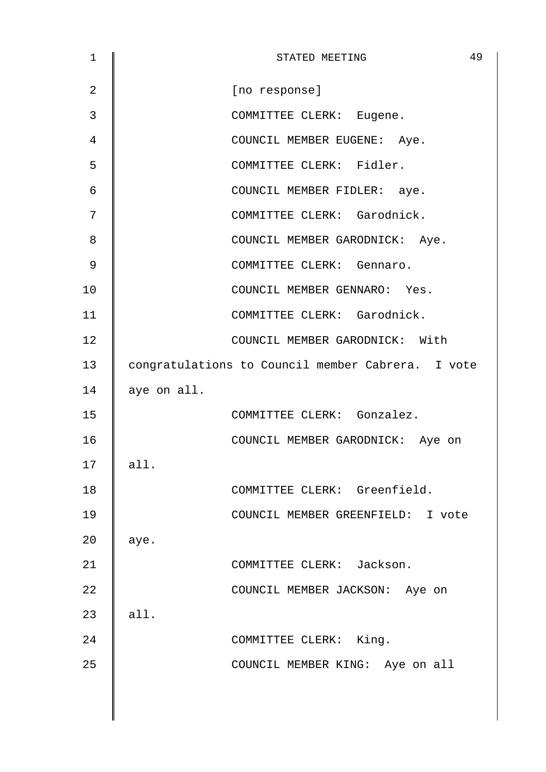| 1              | 49<br>STATED MEETING                              |
|----------------|---------------------------------------------------|
| $\overline{2}$ | [no response]                                     |
| 3              | COMMITTEE CLERK: Eugene.                          |
| 4              | COUNCIL MEMBER EUGENE: Aye.                       |
| 5              | COMMITTEE CLERK: Fidler.                          |
| 6              | COUNCIL MEMBER FIDLER: aye.                       |
| 7              | COMMITTEE CLERK: Garodnick.                       |
| 8              | COUNCIL MEMBER GARODNICK: Aye.                    |
| 9              | COMMITTEE CLERK: Gennaro.                         |
| 10             | COUNCIL MEMBER GENNARO: Yes.                      |
| 11             | COMMITTEE CLERK: Garodnick.                       |
| 12             | COUNCIL MEMBER GARODNICK: With                    |
| 13             | congratulations to Council member Cabrera. I vote |
| 14             | aye on all.                                       |
| 15             | COMMITTEE CLERK: Gonzalez.                        |
| 16             | COUNCIL MEMBER GARODNICK: Aye on                  |
| 17             | all.                                              |
| 18             | COMMITTEE CLERK: Greenfield.                      |
| 19             | COUNCIL MEMBER GREENFIELD: I vote                 |
| 20             | aye.                                              |
| 21             | COMMITTEE CLERK: Jackson.                         |
| 22             | COUNCIL MEMBER JACKSON: Aye on                    |
| 23             | all.                                              |
| 24             | COMMITTEE CLERK: King.                            |
| 25             | COUNCIL MEMBER KING: Aye on all                   |
|                |                                                   |
|                |                                                   |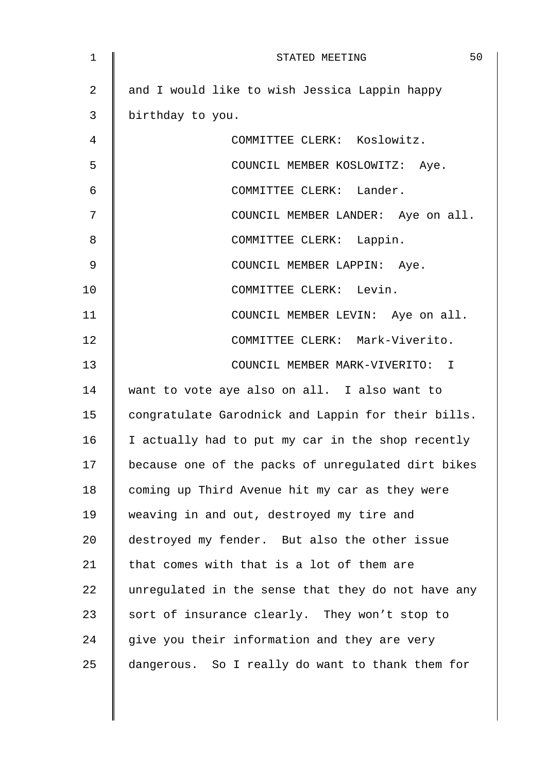| 1              | 50<br>STATED MEETING                               |
|----------------|----------------------------------------------------|
| $\overline{2}$ | and I would like to wish Jessica Lappin happy      |
| 3              | birthday to you.                                   |
| 4              | COMMITTEE CLERK: Koslowitz.                        |
| 5              | COUNCIL MEMBER KOSLOWITZ: Aye.                     |
| 6              | COMMITTEE CLERK: Lander.                           |
| 7              | COUNCIL MEMBER LANDER: Aye on all.                 |
| 8              | COMMITTEE CLERK: Lappin.                           |
| 9              | COUNCIL MEMBER LAPPIN: Aye.                        |
| 10             | COMMITTEE CLERK: Levin.                            |
| 11             | COUNCIL MEMBER LEVIN: Aye on all.                  |
| 12             | COMMITTEE CLERK: Mark-Viverito.                    |
| 13             | COUNCIL MEMBER MARK-VIVERITO: I                    |
| 14             | want to vote aye also on all. I also want to       |
| 15             | congratulate Garodnick and Lappin for their bills. |
| 16             | I actually had to put my car in the shop recently  |
| 17             | because one of the packs of unregulated dirt bikes |
| 18             | coming up Third Avenue hit my car as they were     |
| 19             | weaving in and out, destroyed my tire and          |
| 20             | destroyed my fender. But also the other issue      |
| 21             | that comes with that is a lot of them are          |
| 22             | unregulated in the sense that they do not have any |
| 23             | sort of insurance clearly. They won't stop to      |
| 24             | give you their information and they are very       |
| 25             | dangerous. So I really do want to thank them for   |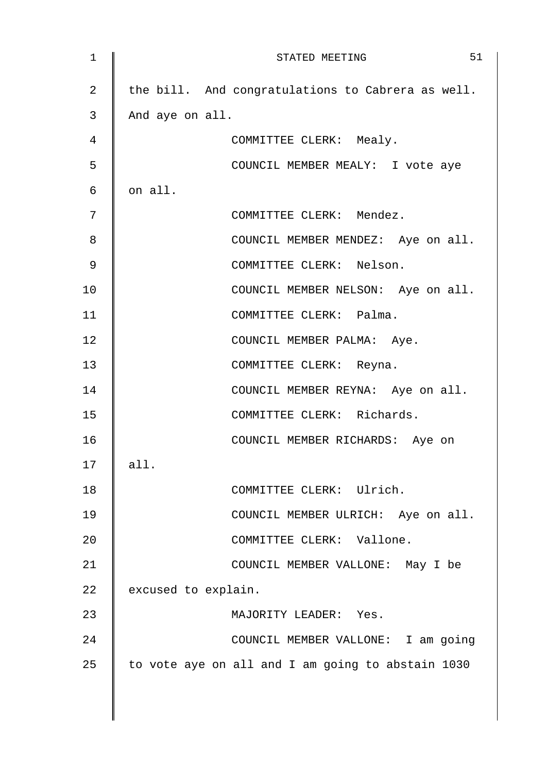| $\mathbf 1$ | 51<br>STATED MEETING                              |
|-------------|---------------------------------------------------|
| 2           | the bill. And congratulations to Cabrera as well. |
| 3           | And aye on all.                                   |
| 4           | COMMITTEE CLERK: Mealy.                           |
| 5           | COUNCIL MEMBER MEALY: I vote aye                  |
| 6           | on all.                                           |
| 7           | COMMITTEE CLERK: Mendez.                          |
| 8           | COUNCIL MEMBER MENDEZ: Aye on all.                |
| 9           | COMMITTEE CLERK: Nelson.                          |
| 10          | COUNCIL MEMBER NELSON: Aye on all.                |
| 11          | COMMITTEE CLERK: Palma.                           |
| 12          | COUNCIL MEMBER PALMA: Aye.                        |
| 13          | COMMITTEE CLERK: Reyna.                           |
| 14          | COUNCIL MEMBER REYNA: Aye on all.                 |
| 15          | COMMITTEE CLERK: Richards.                        |
| 16          | COUNCIL MEMBER RICHARDS: Aye on                   |
| 17          | all.                                              |
| 18          | COMMITTEE CLERK: Ulrich.                          |
| 19          | COUNCIL MEMBER ULRICH: Aye on all.                |
| 20          | COMMITTEE CLERK: Vallone.                         |
| 21          | COUNCIL MEMBER VALLONE: May I be                  |
| 22          | excused to explain.                               |
| 23          | MAJORITY LEADER: Yes.                             |
| 24          | COUNCIL MEMBER VALLONE: I am going                |
| 25          | to vote aye on all and I am going to abstain 1030 |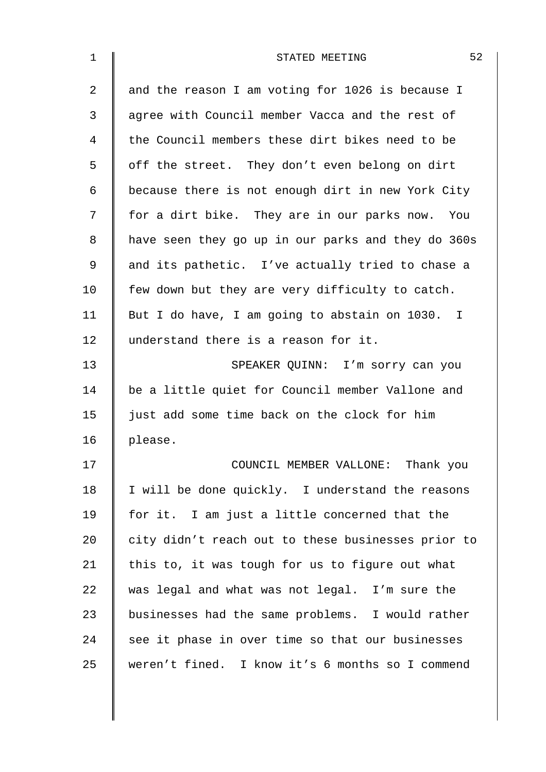| $\mathbf{1}$   | 52<br>STATED MEETING                               |
|----------------|----------------------------------------------------|
| $\overline{2}$ | and the reason I am voting for 1026 is because I   |
| 3              | agree with Council member Vacca and the rest of    |
| 4              | the Council members these dirt bikes need to be    |
| 5              | off the street. They don't even belong on dirt     |
| 6              | because there is not enough dirt in new York City  |
| 7              | for a dirt bike. They are in our parks now. You    |
| 8              | have seen they go up in our parks and they do 360s |
| 9              | and its pathetic. I've actually tried to chase a   |
| 10             | few down but they are very difficulty to catch.    |
| 11             | But I do have, I am going to abstain on 1030. I    |
| 12             | understand there is a reason for it.               |
| 13             | SPEAKER QUINN: I'm sorry can you                   |
| 14             | be a little quiet for Council member Vallone and   |
| 15             | just add some time back on the clock for him       |
| 16             | please.                                            |
| 17             | COUNCIL MEMBER VALLONE: Thank you                  |
| 18             | I will be done quickly. I understand the reasons   |
| 19             | for it. I am just a little concerned that the      |
| 20             | city didn't reach out to these businesses prior to |
| 21             | this to, it was tough for us to figure out what    |
| 22             | was legal and what was not legal. I'm sure the     |
| 23             | businesses had the same problems. I would rather   |
| 24             | see it phase in over time so that our businesses   |
| 25             | weren't fined. I know it's 6 months so I commend   |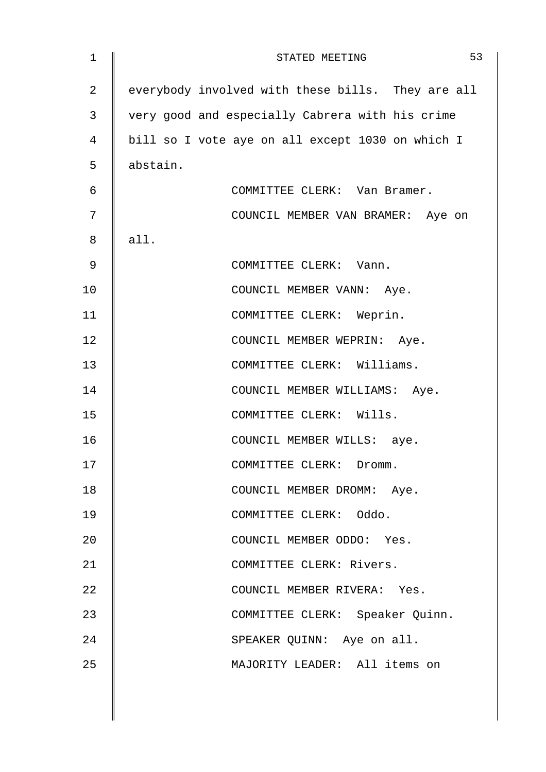| 1              | 53<br>STATED MEETING                              |
|----------------|---------------------------------------------------|
| $\overline{a}$ | everybody involved with these bills. They are all |
| 3              | very good and especially Cabrera with his crime   |
| 4              | bill so I vote aye on all except 1030 on which I  |
| 5              | abstain.                                          |
| 6              | COMMITTEE CLERK: Van Bramer.                      |
| 7              | COUNCIL MEMBER VAN BRAMER: Aye on                 |
| 8              | all.                                              |
| $\mathsf 9$    | COMMITTEE CLERK: Vann.                            |
| 10             | COUNCIL MEMBER VANN: Aye.                         |
| 11             | COMMITTEE CLERK: Weprin.                          |
| 12             | COUNCIL MEMBER WEPRIN: Aye.                       |
| 13             | COMMITTEE CLERK: Williams.                        |
| 14             | COUNCIL MEMBER WILLIAMS: Aye.                     |
| 15             | COMMITTEE CLERK: Wills.                           |
| 16             | COUNCIL MEMBER WILLS: aye.                        |
| 17             | COMMITTEE CLERK: Dromm.                           |
| 18             | COUNCIL MEMBER DROMM: Aye.                        |
| 19             | COMMITTEE CLERK: Oddo.                            |
| 20             | COUNCIL MEMBER ODDO: Yes.                         |
| 21             | COMMITTEE CLERK: Rivers.                          |
| 22             | COUNCIL MEMBER RIVERA: Yes.                       |
| 23             | COMMITTEE CLERK: Speaker Quinn.                   |
| 24             | SPEAKER QUINN: Aye on all.                        |
| 25             | MAJORITY LEADER: All items on                     |
|                |                                                   |
|                |                                                   |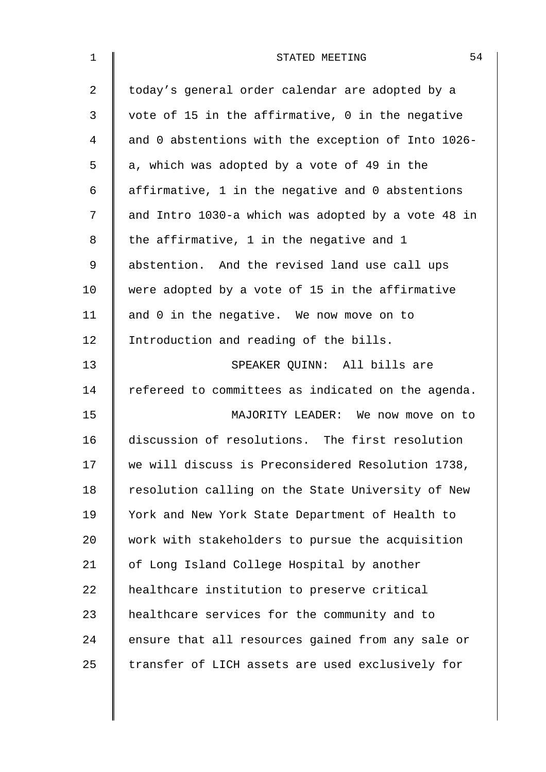| $\mathbf{1}$ | 54<br>STATED MEETING                               |
|--------------|----------------------------------------------------|
| 2            | today's general order calendar are adopted by a    |
| 3            | vote of 15 in the affirmative, 0 in the negative   |
| 4            | and 0 abstentions with the exception of Into 1026- |
| 5            | a, which was adopted by a vote of 49 in the        |
| 6            | affirmative, 1 in the negative and 0 abstentions   |
| 7            | and Intro 1030-a which was adopted by a vote 48 in |
| 8            | the affirmative, 1 in the negative and 1           |
| 9            | abstention. And the revised land use call ups      |
| 10           | were adopted by a vote of 15 in the affirmative    |
| 11           | and 0 in the negative. We now move on to           |
| 12           | Introduction and reading of the bills.             |
| 13           | SPEAKER QUINN: All bills are                       |
| 14           | refereed to committees as indicated on the agenda. |
| 15           | MAJORITY LEADER: We now move on to                 |
| 16           | discussion of resolutions. The first resolution    |
| 17           | we will discuss is Preconsidered Resolution 1738,  |
| 18           | resolution calling on the State University of New  |
| 19           | York and New York State Department of Health to    |
| 20           | work with stakeholders to pursue the acquisition   |
| 21           | of Long Island College Hospital by another         |
| 22           | healthcare institution to preserve critical        |
| 23           | healthcare services for the community and to       |
| 24           | ensure that all resources gained from any sale or  |
| 25           | transfer of LICH assets are used exclusively for   |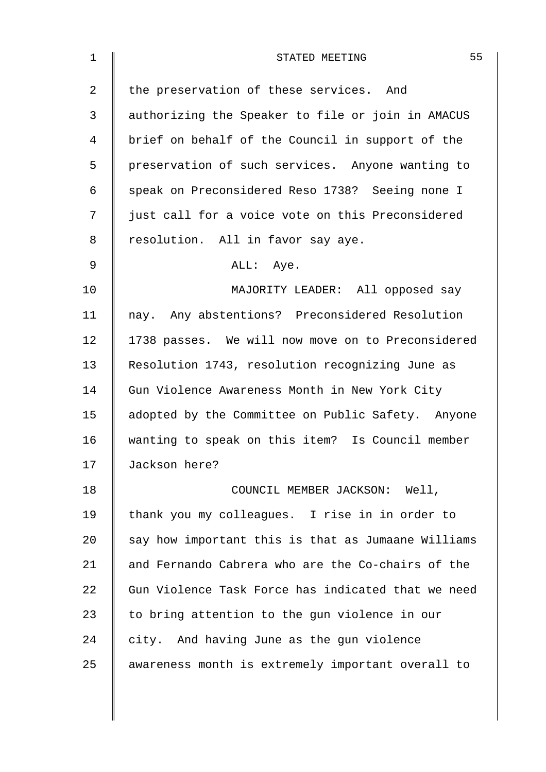| $\mathbf 1$ | 55<br>STATED MEETING                               |
|-------------|----------------------------------------------------|
| 2           | the preservation of these services. And            |
| 3           | authorizing the Speaker to file or join in AMACUS  |
| 4           | brief on behalf of the Council in support of the   |
| 5           | preservation of such services. Anyone wanting to   |
| 6           | speak on Preconsidered Reso 1738? Seeing none I    |
| 7           | just call for a voice vote on this Preconsidered   |
| 8           | resolution. All in favor say aye.                  |
| 9           | ALL: Aye.                                          |
| 10          | MAJORITY LEADER: All opposed say                   |
| 11          | nay. Any abstentions? Preconsidered Resolution     |
| 12          | 1738 passes. We will now move on to Preconsidered  |
| 13          | Resolution 1743, resolution recognizing June as    |
| 14          | Gun Violence Awareness Month in New York City      |
| 15          | adopted by the Committee on Public Safety. Anyone  |
| 16          | wanting to speak on this item? Is Council member   |
| 17          | Jackson here?                                      |
| 18          | COUNCIL MEMBER JACKSON: Well,                      |
| 19          | thank you my colleagues. I rise in in order to     |
| 20          | say how important this is that as Jumaane Williams |
| 21          | and Fernando Cabrera who are the Co-chairs of the  |
| 22          | Gun Violence Task Force has indicated that we need |
| 23          | to bring attention to the gun violence in our      |
| 24          | city. And having June as the gun violence          |
| 25          | awareness month is extremely important overall to  |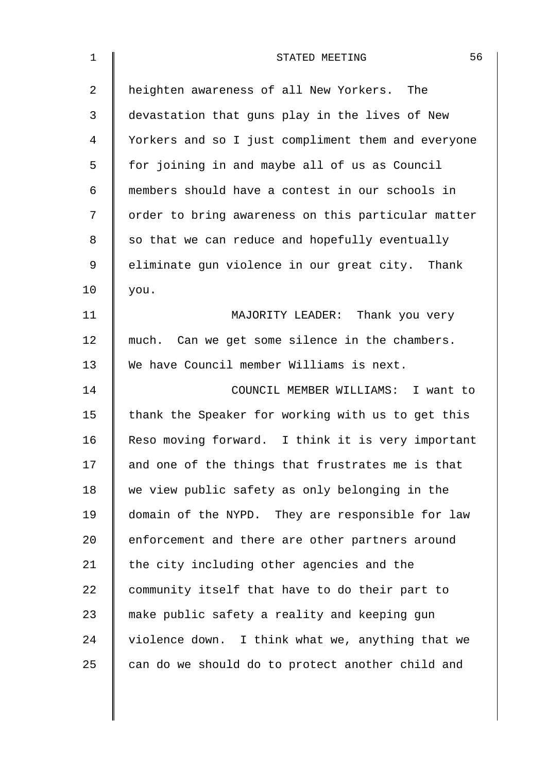| $\mathbf 1$ | 56<br>STATED MEETING                               |
|-------------|----------------------------------------------------|
| 2           | heighten awareness of all New Yorkers. The         |
| 3           | devastation that guns play in the lives of New     |
| 4           | Yorkers and so I just compliment them and everyone |
| 5           | for joining in and maybe all of us as Council      |
| 6           | members should have a contest in our schools in    |
| 7           | order to bring awareness on this particular matter |
| 8           | so that we can reduce and hopefully eventually     |
| 9           | eliminate gun violence in our great city. Thank    |
| 10          | you.                                               |
| 11          | MAJORITY LEADER: Thank you very                    |
| 12          | much. Can we get some silence in the chambers.     |
| 13          | We have Council member Williams is next.           |
| 14          | COUNCIL MEMBER WILLIAMS: I want to                 |
| 15          | thank the Speaker for working with us to get this  |
| 16          | Reso moving forward. I think it is very important  |
| 17          | and one of the things that frustrates me is that   |
| 18          | we view public safety as only belonging in the     |
| 19          | domain of the NYPD. They are responsible for law   |
| 20          | enforcement and there are other partners around    |
| 21          | the city including other agencies and the          |
| 22          | community itself that have to do their part to     |
| 23          | make public safety a reality and keeping gun       |
| 24          | violence down. I think what we, anything that we   |
| 25          | can do we should do to protect another child and   |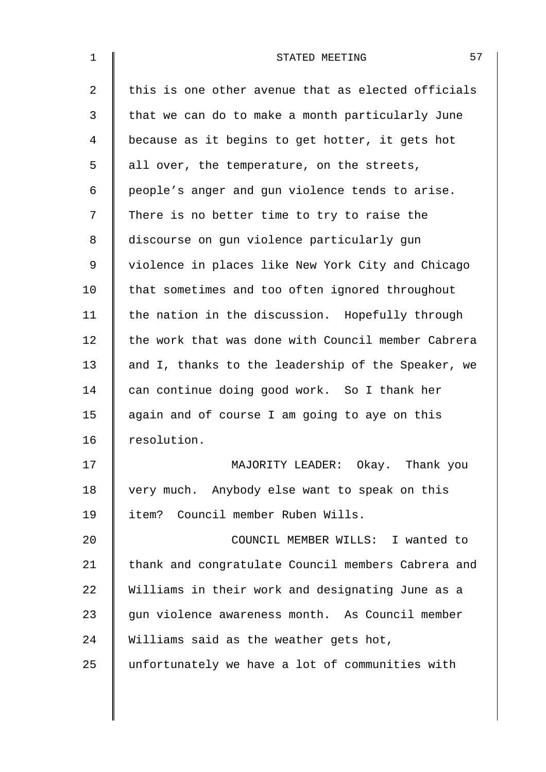| 57<br>STATED MEETING                               |
|----------------------------------------------------|
| this is one other avenue that as elected officials |
| that we can do to make a month particularly June   |
| because as it begins to get hotter, it gets hot    |
| all over, the temperature, on the streets,         |
| people's anger and gun violence tends to arise.    |
| There is no better time to try to raise the        |
| discourse on gun violence particularly gun         |
| violence in places like New York City and Chicago  |
| that sometimes and too often ignored throughout    |
| the nation in the discussion. Hopefully through    |
| the work that was done with Council member Cabrera |
| and I, thanks to the leadership of the Speaker, we |
| can continue doing good work. So I thank her       |
| again and of course I am going to aye on this      |
| resolution.                                        |
| MAJORITY LEADER: Okay. Thank you                   |
| very much. Anybody else want to speak on this      |
| item? Council member Ruben Wills.                  |
| COUNCIL MEMBER WILLS: I wanted to                  |
| thank and congratulate Council members Cabrera and |
| Williams in their work and designating June as a   |
| gun violence awareness month. As Council member    |
| Williams said as the weather gets hot,             |
| unfortunately we have a lot of communities with    |
|                                                    |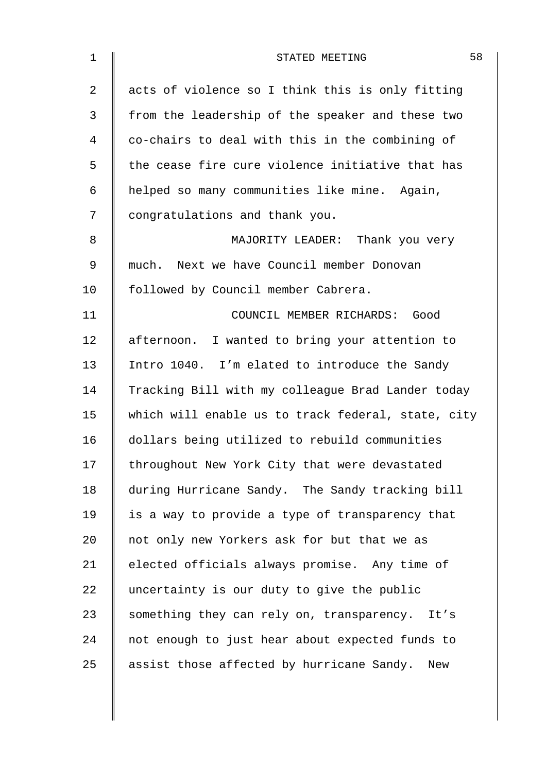| $\mathbf 1$    | 58<br>STATED MEETING                               |
|----------------|----------------------------------------------------|
| $\overline{2}$ | acts of violence so I think this is only fitting   |
| 3              | from the leadership of the speaker and these two   |
| 4              | co-chairs to deal with this in the combining of    |
| 5              | the cease fire cure violence initiative that has   |
| 6              | helped so many communities like mine. Again,       |
| 7              | congratulations and thank you.                     |
| 8              | MAJORITY LEADER: Thank you very                    |
| 9              | much. Next we have Council member Donovan          |
| 10             | followed by Council member Cabrera.                |
| 11             | COUNCIL MEMBER RICHARDS: Good                      |
| 12             | afternoon. I wanted to bring your attention to     |
| 13             | Intro 1040. I'm elated to introduce the Sandy      |
| 14             | Tracking Bill with my colleague Brad Lander today  |
| 15             | which will enable us to track federal, state, city |
| 16             | dollars being utilized to rebuild communities      |
| 17             | throughout New York City that were devastated      |
| 18             | during Hurricane Sandy. The Sandy tracking bill    |
| 19             | is a way to provide a type of transparency that    |
| 20             | not only new Yorkers ask for but that we as        |
| 21             | elected officials always promise. Any time of      |
| 22             | uncertainty is our duty to give the public         |
| 23             | something they can rely on, transparency. It's     |
| 24             | not enough to just hear about expected funds to    |
| 25             | assist those affected by hurricane Sandy. New      |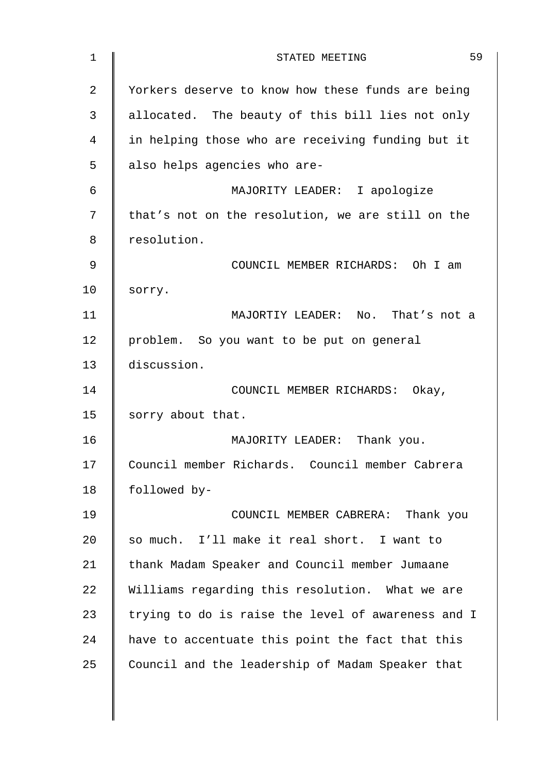| $\mathbf{1}$ | 59<br>STATED MEETING                               |
|--------------|----------------------------------------------------|
| 2            | Yorkers deserve to know how these funds are being  |
| 3            | allocated. The beauty of this bill lies not only   |
| 4            | in helping those who are receiving funding but it  |
| 5            | also helps agencies who are-                       |
| 6            | MAJORITY LEADER: I apologize                       |
| 7            | that's not on the resolution, we are still on the  |
| 8            | resolution.                                        |
| 9            | COUNCIL MEMBER RICHARDS: Oh I am                   |
| 10           | sorry.                                             |
| 11           | MAJORTIY LEADER: No. That's not a                  |
| 12           | problem. So you want to be put on general          |
| 13           | discussion.                                        |
| 14           | COUNCIL MEMBER RICHARDS: Okay,                     |
| 15           | sorry about that.                                  |
| 16           | MAJORITY LEADER: Thank you.                        |
| 17           | Council member Richards. Council member Cabrera    |
| 18           | followed by-                                       |
| 19           | COUNCIL MEMBER CABRERA: Thank you                  |
| 20           | so much. I'll make it real short. I want to        |
| 21           | thank Madam Speaker and Council member Jumaane     |
| 22           | Williams regarding this resolution. What we are    |
| 23           | trying to do is raise the level of awareness and I |
| 24           | have to accentuate this point the fact that this   |
| 25           | Council and the leadership of Madam Speaker that   |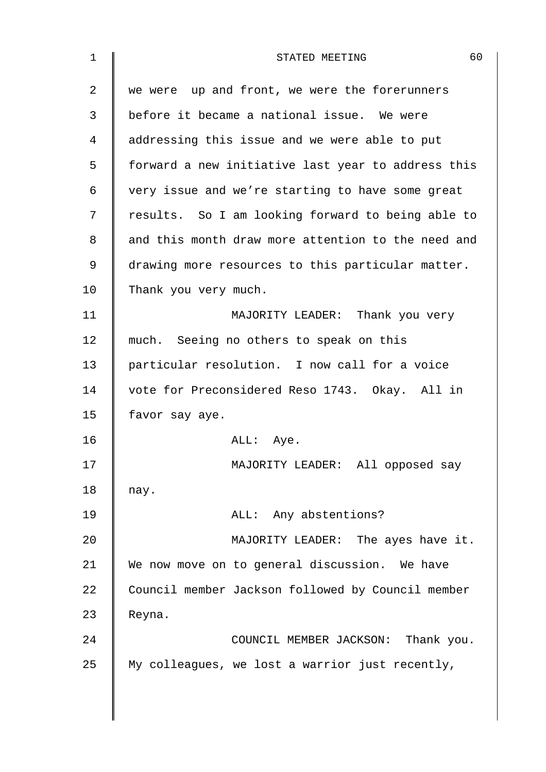| $\mathbf 1$ | 60<br>STATED MEETING                               |
|-------------|----------------------------------------------------|
| 2           | we were up and front, we were the forerunners      |
| 3           | before it became a national issue. We were         |
| 4           | addressing this issue and we were able to put      |
| 5           | forward a new initiative last year to address this |
| 6           | very issue and we're starting to have some great   |
| 7           | results. So I am looking forward to being able to  |
| 8           | and this month draw more attention to the need and |
| 9           | drawing more resources to this particular matter.  |
| 10          | Thank you very much.                               |
| 11          | MAJORITY LEADER: Thank you very                    |
| 12          | much. Seeing no others to speak on this            |
| 13          | particular resolution. I now call for a voice      |
| 14          | vote for Preconsidered Reso 1743. Okay. All in     |
| 15          | favor say aye.                                     |
| 16          | ALL: Aye.                                          |
| 17          | MAJORITY LEADER: All opposed say                   |
| 18          | nay.                                               |
| 19          | ALL: Any abstentions?                              |
| 20          | MAJORITY LEADER: The ayes have it.                 |
| 21          | We now move on to general discussion. We have      |
| 22          | Council member Jackson followed by Council member  |
| 23          | Reyna.                                             |
| 24          | COUNCIL MEMBER JACKSON: Thank you.                 |
| 25          | My colleagues, we lost a warrior just recently,    |
|             |                                                    |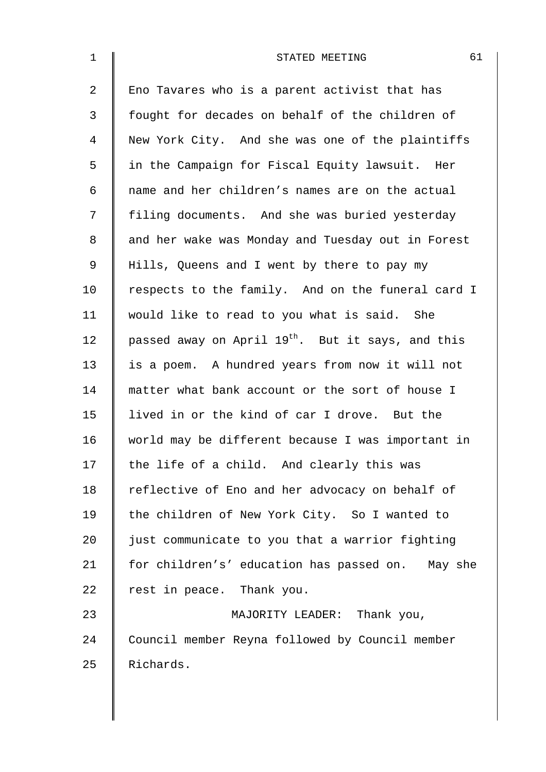| $\mathbf 1$    | 61<br>STATED MEETING                                          |
|----------------|---------------------------------------------------------------|
| $\overline{2}$ | Eno Tavares who is a parent activist that has                 |
| 3              | fought for decades on behalf of the children of               |
| $\overline{4}$ | New York City. And she was one of the plaintiffs              |
| 5              | in the Campaign for Fiscal Equity lawsuit. Her                |
| 6              | name and her children's names are on the actual               |
| 7              | filing documents. And she was buried yesterday                |
| 8              | and her wake was Monday and Tuesday out in Forest             |
| 9              | Hills, Queens and I went by there to pay my                   |
| 10             | respects to the family. And on the funeral card I             |
| 11             | would like to read to you what is said. She                   |
| 12             | passed away on April 19 <sup>th</sup> . But it says, and this |
| 13             | is a poem. A hundred years from now it will not               |
| 14             | matter what bank account or the sort of house I               |
| 15             | lived in or the kind of car I drove. But the                  |
| 16             | world may be different because I was important in             |
| 17             | the life of a child. And clearly this was                     |
| 18             | reflective of Eno and her advocacy on behalf of               |
| 19             | the children of New York City. So I wanted to                 |
| 20             | just communicate to you that a warrior fighting               |
| 21             | for children's' education has passed on. May she              |
| 22             | rest in peace. Thank you.                                     |
| 23             | MAJORITY LEADER: Thank you,                                   |
| 24             | Council member Reyna followed by Council member               |
| 25             | Richards.                                                     |
|                |                                                               |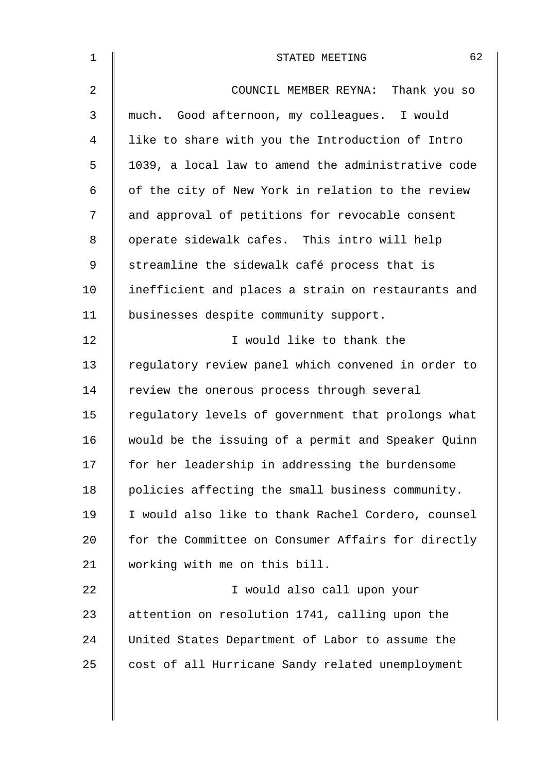| $\mathbf 1$    | 62<br>STATED MEETING                               |
|----------------|----------------------------------------------------|
| $\overline{2}$ | COUNCIL MEMBER REYNA: Thank you so                 |
| 3              | much. Good afternoon, my colleagues. I would       |
| 4              | like to share with you the Introduction of Intro   |
| 5              | 1039, a local law to amend the administrative code |
| 6              | of the city of New York in relation to the review  |
| 7              | and approval of petitions for revocable consent    |
| 8              | operate sidewalk cafes. This intro will help       |
| 9              | streamline the sidewalk café process that is       |
| 10             | inefficient and places a strain on restaurants and |
| 11             | businesses despite community support.              |
| 12             | I would like to thank the                          |
| 13             | regulatory review panel which convened in order to |
| 14             | review the onerous process through several         |
| 15             | regulatory levels of government that prolongs what |
| 16             | would be the issuing of a permit and Speaker Quinn |
| 17             | for her leadership in addressing the burdensome    |
| 18             | policies affecting the small business community.   |
| 19             | I would also like to thank Rachel Cordero, counsel |
| 20             | for the Committee on Consumer Affairs for directly |
| 21             | working with me on this bill.                      |
| 22             | I would also call upon your                        |
| 23             | attention on resolution 1741, calling upon the     |
| 24             | United States Department of Labor to assume the    |
| 25             | cost of all Hurricane Sandy related unemployment   |
|                |                                                    |
|                |                                                    |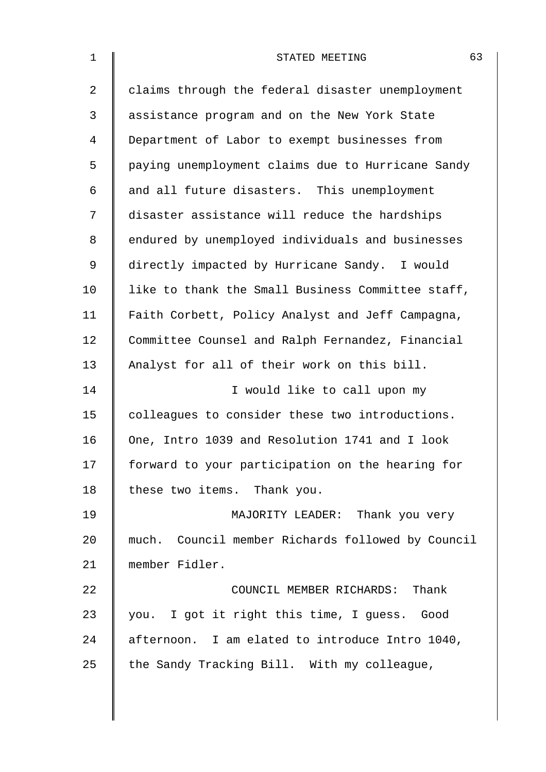| $\mathbf 1$    | 63<br>STATED MEETING                              |
|----------------|---------------------------------------------------|
| $\overline{a}$ | claims through the federal disaster unemployment  |
| 3              | assistance program and on the New York State      |
| $\overline{4}$ | Department of Labor to exempt businesses from     |
| 5              | paying unemployment claims due to Hurricane Sandy |
| 6              | and all future disasters. This unemployment       |
| 7              | disaster assistance will reduce the hardships     |
| 8              | endured by unemployed individuals and businesses  |
| $\mathsf 9$    | directly impacted by Hurricane Sandy. I would     |
| 10             | like to thank the Small Business Committee staff, |
| 11             | Faith Corbett, Policy Analyst and Jeff Campagna,  |
| 12             | Committee Counsel and Ralph Fernandez, Financial  |
| 13             | Analyst for all of their work on this bill.       |
| 14             | I would like to call upon my                      |
| 15             | colleagues to consider these two introductions.   |
| 16             | One, Intro 1039 and Resolution 1741 and I look    |
| 17             | forward to your participation on the hearing for  |
| 18             | these two items. Thank you.                       |
| 19             | MAJORITY LEADER: Thank you very                   |
| 20             | much. Council member Richards followed by Council |
| 21             | member Fidler.                                    |
| 22             | COUNCIL MEMBER RICHARDS: Thank                    |
| 23             | you. I got it right this time, I guess. Good      |
| 24             | afternoon. I am elated to introduce Intro 1040,   |
| 25             | the Sandy Tracking Bill. With my colleague,       |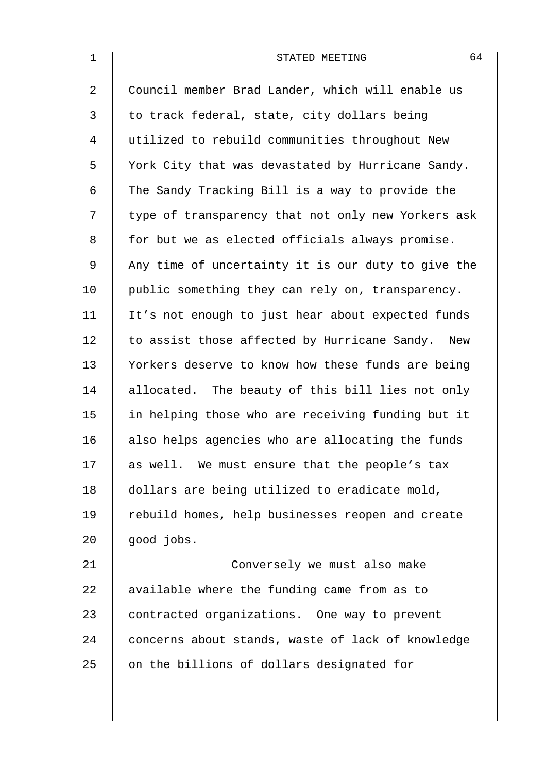| $\mathbf 1$ | 64<br>STATED MEETING                               |
|-------------|----------------------------------------------------|
| 2           | Council member Brad Lander, which will enable us   |
| 3           | to track federal, state, city dollars being        |
| 4           | utilized to rebuild communities throughout New     |
| 5           | York City that was devastated by Hurricane Sandy.  |
| 6           | The Sandy Tracking Bill is a way to provide the    |
| 7           | type of transparency that not only new Yorkers ask |
| 8           | for but we as elected officials always promise.    |
| 9           | Any time of uncertainty it is our duty to give the |
| 10          | public something they can rely on, transparency.   |
| 11          | It's not enough to just hear about expected funds  |
| 12          | to assist those affected by Hurricane Sandy. New   |
| 13          | Yorkers deserve to know how these funds are being  |
| 14          | allocated. The beauty of this bill lies not only   |
| 15          | in helping those who are receiving funding but it  |
| 16          | also helps agencies who are allocating the funds   |
| 17          | as well. We must ensure that the people's tax      |
| 18          | dollars are being utilized to eradicate mold,      |
| 19          | rebuild homes, help businesses reopen and create   |
| 20          | good jobs.                                         |
| 21          | Conversely we must also make                       |
| 22          | available where the funding came from as to        |
| 23          | contracted organizations. One way to prevent       |
| 24          | concerns about stands, waste of lack of knowledge  |
| 25          | on the billions of dollars designated for          |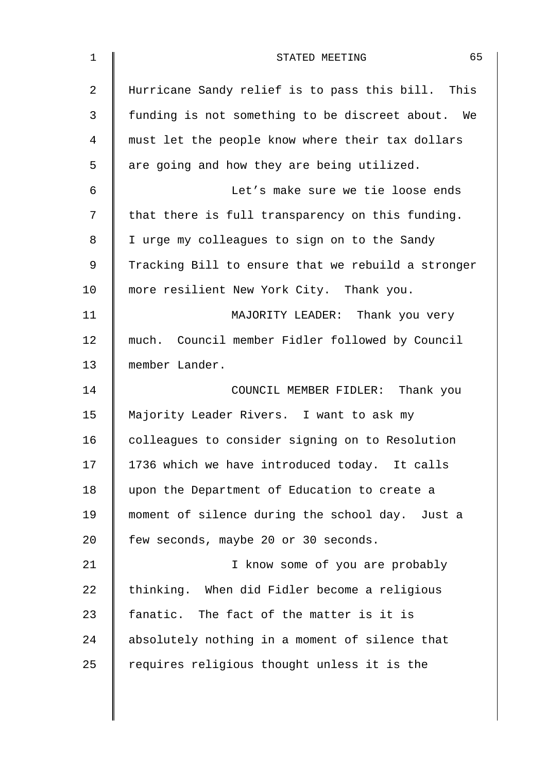| $\mathbf 1$    | 65<br>STATED MEETING                               |
|----------------|----------------------------------------------------|
| $\overline{2}$ | Hurricane Sandy relief is to pass this bill. This  |
| 3              | funding is not something to be discreet about. We  |
| 4              | must let the people know where their tax dollars   |
| 5              | are going and how they are being utilized.         |
| 6              | Let's make sure we tie loose ends                  |
| 7              | that there is full transparency on this funding.   |
| 8              | I urge my colleagues to sign on to the Sandy       |
| 9              | Tracking Bill to ensure that we rebuild a stronger |
| 10             | more resilient New York City. Thank you.           |
| 11             | MAJORITY LEADER: Thank you very                    |
| 12             | much. Council member Fidler followed by Council    |
| 13             | member Lander.                                     |
| 14             | COUNCIL MEMBER FIDLER: Thank you                   |
| 15             | Majority Leader Rivers. I want to ask my           |
| 16             | colleagues to consider signing on to Resolution    |
| 17             | 1736 which we have introduced today. It calls      |
| 18             | upon the Department of Education to create a       |
| 19             | moment of silence during the school day. Just a    |
| 20             | few seconds, maybe 20 or 30 seconds.               |
| 21             | I know some of you are probably                    |
| 22             | thinking. When did Fidler become a religious       |
| 23             | fanatic. The fact of the matter is it is           |
| 24             | absolutely nothing in a moment of silence that     |
| 25             | requires religious thought unless it is the        |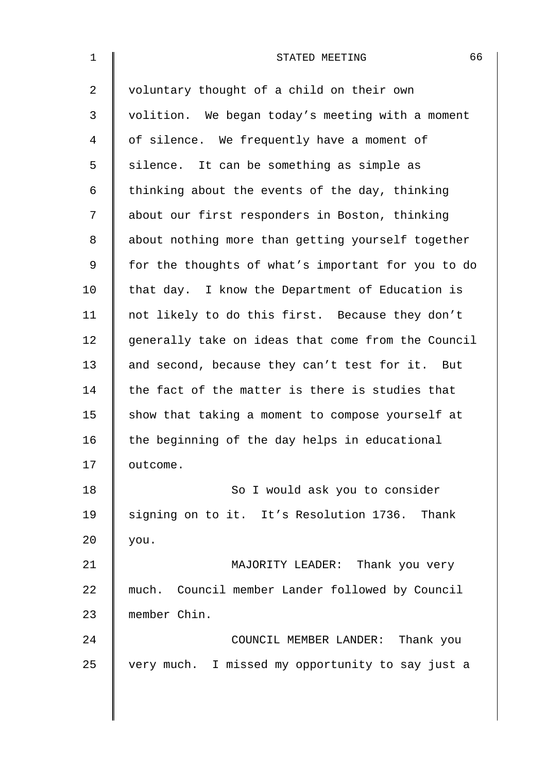| $\mathbf{1}$ | 66<br>STATED MEETING                               |
|--------------|----------------------------------------------------|
| 2            | voluntary thought of a child on their own          |
| 3            | volition. We began today's meeting with a moment   |
| 4            | of silence. We frequently have a moment of         |
| 5            | silence. It can be something as simple as          |
| 6            | thinking about the events of the day, thinking     |
| 7            | about our first responders in Boston, thinking     |
| 8            | about nothing more than getting yourself together  |
| $\mathsf 9$  | for the thoughts of what's important for you to do |
| 10           | that day. I know the Department of Education is    |
| 11           | not likely to do this first. Because they don't    |
| 12           | generally take on ideas that come from the Council |
| 13           | and second, because they can't test for it. But    |
| 14           | the fact of the matter is there is studies that    |
| 15           | show that taking a moment to compose yourself at   |
| 16           | the beginning of the day helps in educational      |
| 17           | outcome.                                           |
| 18           | So I would ask you to consider                     |
| 19           | signing on to it. It's Resolution 1736. Thank      |
| 20           | you.                                               |
| 21           | MAJORITY LEADER: Thank you very                    |
| 22           | much. Council member Lander followed by Council    |
| 23           | member Chin.                                       |
| 24           | COUNCIL MEMBER LANDER: Thank you                   |
| 25           | very much. I missed my opportunity to say just a   |
|              |                                                    |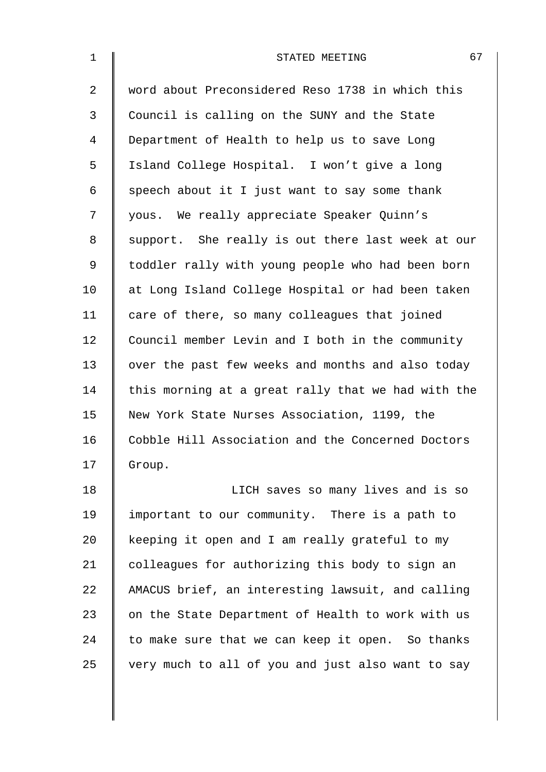| $\mathbf 1$    | 67<br>STATED MEETING                               |
|----------------|----------------------------------------------------|
| $\overline{a}$ | word about Preconsidered Reso 1738 in which this   |
| $\mathfrak{Z}$ | Council is calling on the SUNY and the State       |
| 4              | Department of Health to help us to save Long       |
| 5              | Island College Hospital. I won't give a long       |
| 6              | speech about it I just want to say some thank      |
| 7              | yous. We really appreciate Speaker Quinn's         |
| 8              | support. She really is out there last week at our  |
| 9              | toddler rally with young people who had been born  |
| 10             | at Long Island College Hospital or had been taken  |
| 11             | care of there, so many colleagues that joined      |
| 12             | Council member Levin and I both in the community   |
| 13             | over the past few weeks and months and also today  |
| 14             | this morning at a great rally that we had with the |
| 15             | New York State Nurses Association, 1199, the       |
| 16             | Cobble Hill Association and the Concerned Doctors  |
| 17             | Group.                                             |
| 18             | LICH saves so many lives and is so                 |
| 19             | important to our community. There is a path to     |
| 20             | keeping it open and I am really grateful to my     |
| 21             | colleagues for authorizing this body to sign an    |
| 22             | AMACUS brief, an interesting lawsuit, and calling  |
| 23             | on the State Department of Health to work with us  |

24 to make sure that we can keep it open. So thanks

 $25$  very much to all of you and just also want to say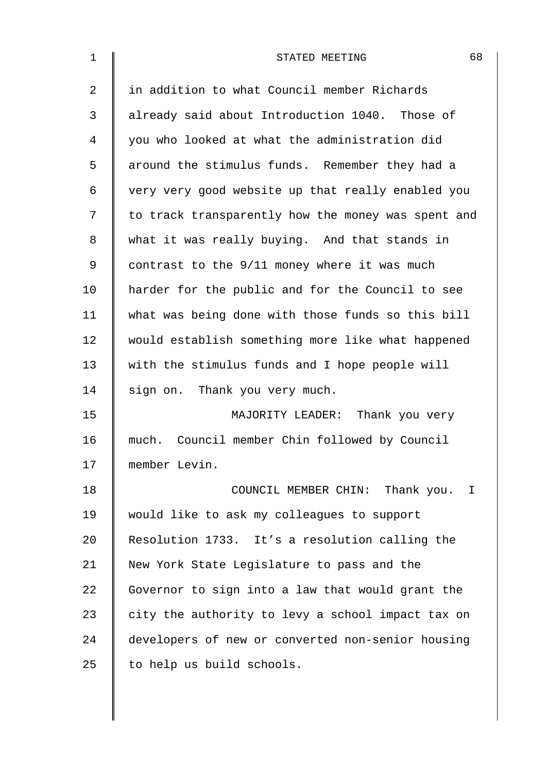| $\mathbf 1$    | 68<br>STATED MEETING                               |
|----------------|----------------------------------------------------|
| $\overline{2}$ | in addition to what Council member Richards        |
| 3              | already said about Introduction 1040. Those of     |
| 4              | you who looked at what the administration did      |
| 5              | around the stimulus funds. Remember they had a     |
| 6              | very very good website up that really enabled you  |
| 7              | to track transparently how the money was spent and |
| 8              | what it was really buying. And that stands in      |
| 9              | contrast to the 9/11 money where it was much       |
| 10             | harder for the public and for the Council to see   |
| 11             | what was being done with those funds so this bill  |
| 12             | would establish something more like what happened  |
| 13             | with the stimulus funds and I hope people will     |
| 14             | sign on. Thank you very much.                      |
| 15             | MAJORITY LEADER: Thank you very                    |
| 16             | much. Council member Chin followed by Council      |
| 17             | member Levin.                                      |
| 18             | COUNCIL MEMBER CHIN: Thank you. I                  |
| 19             | would like to ask my colleagues to support         |
| 20             | Resolution 1733. It's a resolution calling the     |
| 21             | New York State Legislature to pass and the         |
| 22             | Governor to sign into a law that would grant the   |
| 23             | city the authority to levy a school impact tax on  |
| 24             | developers of new or converted non-senior housing  |
| 25             | to help us build schools.                          |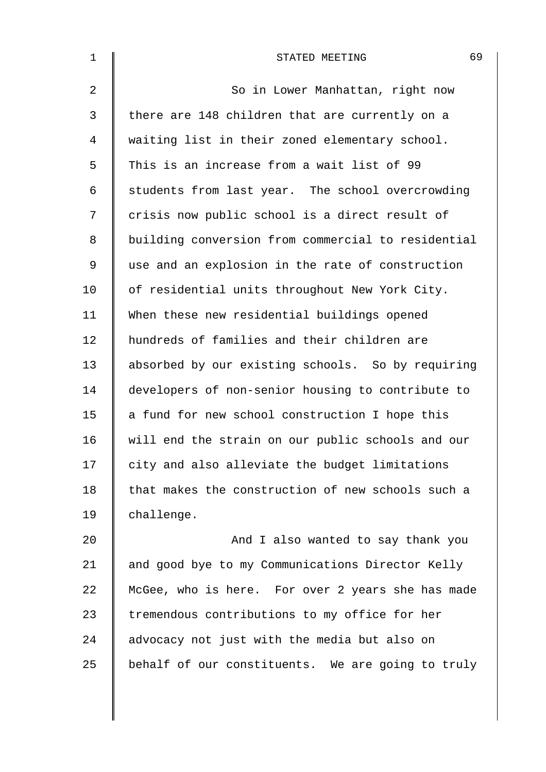| $\mathbf 1$    | 69<br>STATED MEETING                               |
|----------------|----------------------------------------------------|
| $\overline{2}$ | So in Lower Manhattan, right now                   |
| 3              | there are 148 children that are currently on a     |
| 4              | waiting list in their zoned elementary school.     |
| 5              | This is an increase from a wait list of 99         |
| 6              | students from last year. The school overcrowding   |
| 7              | crisis now public school is a direct result of     |
| 8              | building conversion from commercial to residential |
| 9              | use and an explosion in the rate of construction   |
| 10             | of residential units throughout New York City.     |
| 11             | When these new residential buildings opened        |
| 12             | hundreds of families and their children are        |
| 13             | absorbed by our existing schools. So by requiring  |
| 14             | developers of non-senior housing to contribute to  |
| 15             | a fund for new school construction I hope this     |
| 16             | will end the strain on our public schools and our  |
| 17             | city and also alleviate the budget limitations     |
| 18             | that makes the construction of new schools such a  |
| 19             | challenge.                                         |
| 20             | And I also wanted to say thank you                 |
| 21             | and good bye to my Communications Director Kelly   |
| 22             | McGee, who is here. For over 2 years she has made  |

22 McGee, who is here. For over 2 years she has made 23 Tremendous contributions to my office for her  $24$   $\parallel$  advocacy not just with the media but also on  $25$  behalf of our constituents. We are going to truly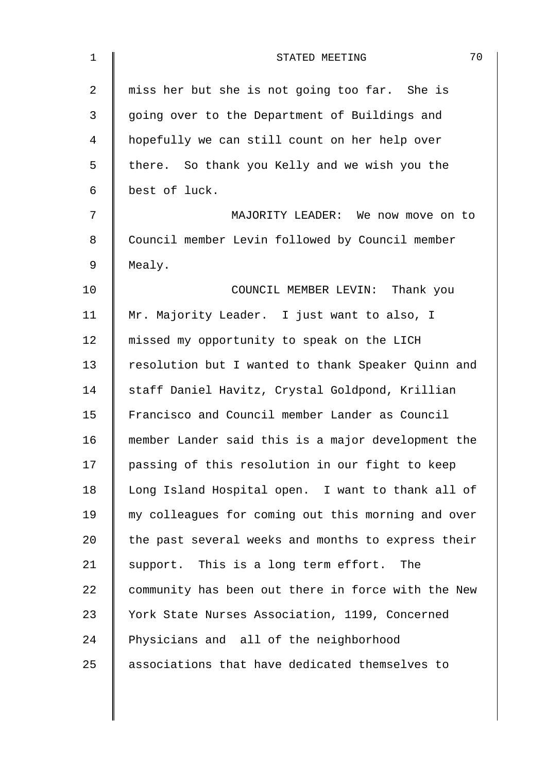| $\mathbf{1}$ | 70<br>STATED MEETING                               |
|--------------|----------------------------------------------------|
| 2            | miss her but she is not going too far. She is      |
| 3            | going over to the Department of Buildings and      |
| 4            | hopefully we can still count on her help over      |
| 5            | there. So thank you Kelly and we wish you the      |
| 6            | best of luck.                                      |
| 7            | MAJORITY LEADER: We now move on to                 |
| 8            | Council member Levin followed by Council member    |
| 9            | Mealy.                                             |
| 10           | COUNCIL MEMBER LEVIN: Thank you                    |
| 11           | Mr. Majority Leader. I just want to also, I        |
| 12           | missed my opportunity to speak on the LICH         |
| 13           | resolution but I wanted to thank Speaker Quinn and |
| 14           | staff Daniel Havitz, Crystal Goldpond, Krillian    |
| 15           | Francisco and Council member Lander as Council     |
| 16           | member Lander said this is a major development the |
| 17           | passing of this resolution in our fight to keep    |
| 18           | Long Island Hospital open. I want to thank all of  |
| 19           | my colleagues for coming out this morning and over |
| 20           | the past several weeks and months to express their |
| 21           | support. This is a long term effort. The           |
| 22           | community has been out there in force with the New |
| 23           | York State Nurses Association, 1199, Concerned     |
| 24           | Physicians and all of the neighborhood             |
| 25           | associations that have dedicated themselves to     |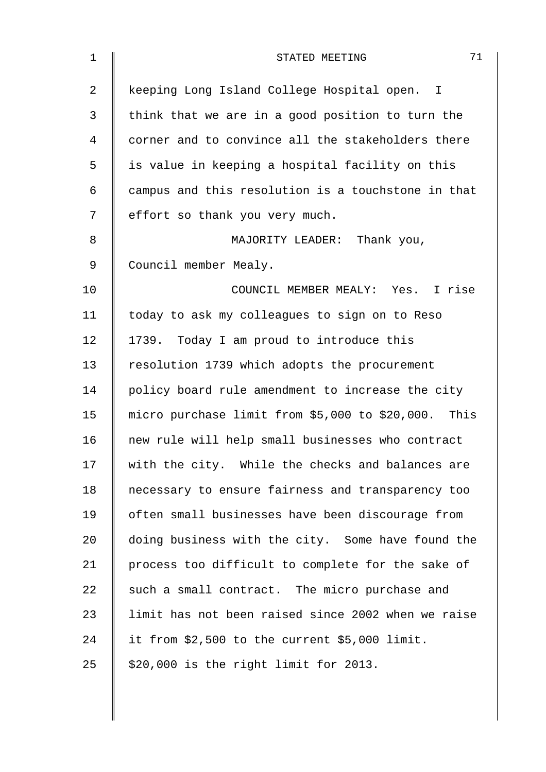| $\mathbf 1$    | 71<br>STATED MEETING                                |
|----------------|-----------------------------------------------------|
| $\overline{a}$ | keeping Long Island College Hospital open. I        |
| $\mathfrak{Z}$ | think that we are in a good position to turn the    |
| 4              | corner and to convince all the stakeholders there   |
| 5              | is value in keeping a hospital facility on this     |
| 6              | campus and this resolution is a touchstone in that  |
| 7              | effort so thank you very much.                      |
| 8              | MAJORITY LEADER: Thank you,                         |
| 9              | Council member Mealy.                               |
| 10             | COUNCIL MEMBER MEALY: Yes. I rise                   |
| 11             | today to ask my colleagues to sign on to Reso       |
| 12             | 1739. Today I am proud to introduce this            |
| 13             | resolution 1739 which adopts the procurement        |
| 14             | policy board rule amendment to increase the city    |
| 15             | micro purchase limit from \$5,000 to \$20,000. This |
| 16             | new rule will help small businesses who contract    |
| 17             | with the city. While the checks and balances are    |
| 18             | necessary to ensure fairness and transparency too   |
| 19             | often small businesses have been discourage from    |
| 20             | doing business with the city. Some have found the   |
| 21             | process too difficult to complete for the sake of   |
| 22             | such a small contract. The micro purchase and       |
| 23             | limit has not been raised since 2002 when we raise  |
| 24             | it from \$2,500 to the current \$5,000 limit.       |
| 25             | \$20,000 is the right limit for 2013.               |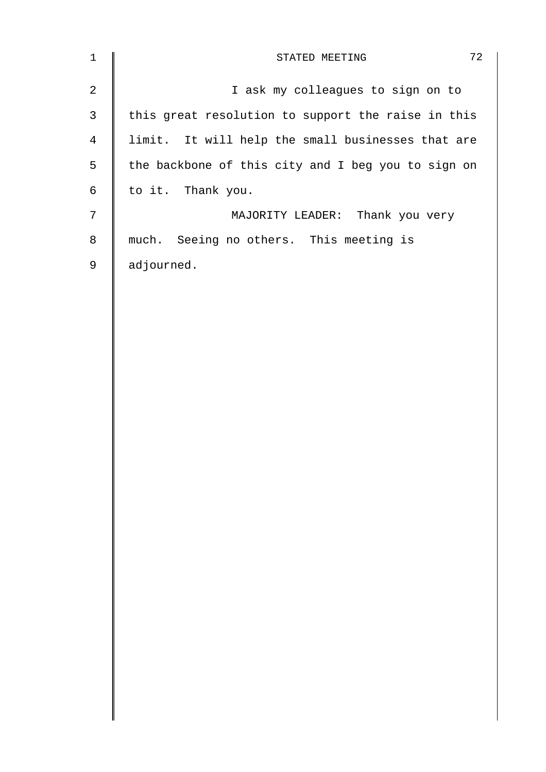| $\mathbf{1}$   | 72<br>STATED MEETING                               |
|----------------|----------------------------------------------------|
| $\overline{2}$ | I ask my colleagues to sign on to                  |
| $\mathbf{3}$   | this great resolution to support the raise in this |
| 4              | limit. It will help the small businesses that are  |
| 5              | the backbone of this city and I beg you to sign on |
| 6              | to it. Thank you.                                  |
| $\overline{7}$ | MAJORITY LEADER: Thank you very                    |
| 8              | much. Seeing no others. This meeting is            |
| 9              | adjourned.                                         |
|                |                                                    |
|                |                                                    |
|                |                                                    |
|                |                                                    |
|                |                                                    |
|                |                                                    |
|                |                                                    |
|                |                                                    |
|                |                                                    |
|                |                                                    |
|                |                                                    |
|                |                                                    |
|                |                                                    |
|                |                                                    |
|                |                                                    |
|                |                                                    |
|                |                                                    |
|                |                                                    |
|                |                                                    |